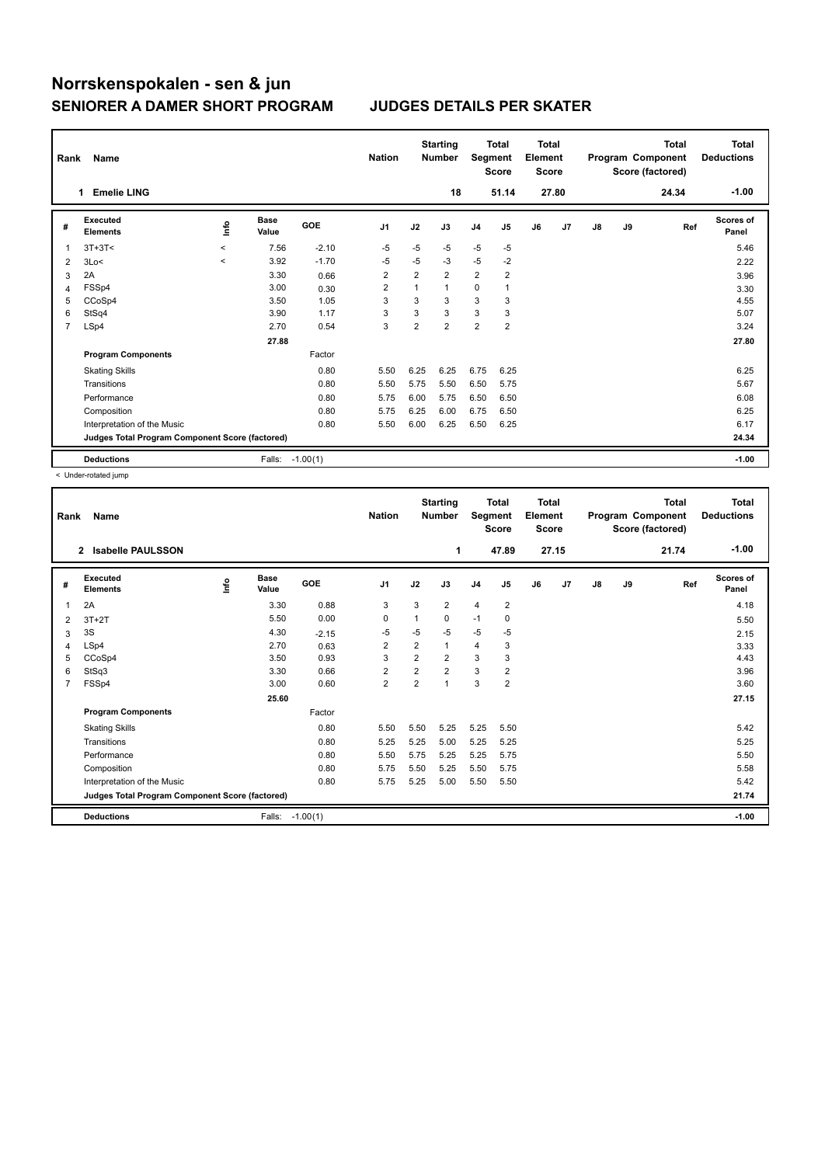| Rank | Name                                            |              |                      |            | <b>Nation</b>           |                | <b>Starting</b><br><b>Number</b> | Segment        | <b>Total</b><br><b>Score</b> | <b>Total</b><br>Element<br>Score |                |               |    | <b>Total</b><br>Program Component<br>Score (factored) | <b>Total</b><br><b>Deductions</b> |
|------|-------------------------------------------------|--------------|----------------------|------------|-------------------------|----------------|----------------------------------|----------------|------------------------------|----------------------------------|----------------|---------------|----|-------------------------------------------------------|-----------------------------------|
|      | <b>Emelie LING</b><br>1                         |              |                      |            |                         |                | 18                               |                | 51.14                        |                                  | 27.80          |               |    | 24.34                                                 | $-1.00$                           |
| #    | <b>Executed</b><br><b>Elements</b>              | ۴٥           | <b>Base</b><br>Value | <b>GOE</b> | J <sub>1</sub>          | J2             | J3                               | J <sub>4</sub> | J5                           | J6                               | J <sub>7</sub> | $\mathsf{J}8$ | J9 | Ref                                                   | <b>Scores of</b><br>Panel         |
| 1    | $3T+3T<$                                        | $\hat{~}$    | 7.56                 | $-2.10$    | -5                      | $-5$           | $-5$                             | $-5$           | $-5$                         |                                  |                |               |    |                                                       | 5.46                              |
| 2    | 3Lo<                                            | $\checkmark$ | 3.92                 | $-1.70$    | $-5$                    | $-5$           | $-3$                             | $-5$           | $-2$                         |                                  |                |               |    |                                                       | 2.22                              |
| 3    | 2A                                              |              | 3.30                 | 0.66       | $\overline{\mathbf{c}}$ | $\overline{2}$ | $\overline{2}$                   | $\overline{2}$ | $\overline{\mathbf{c}}$      |                                  |                |               |    |                                                       | 3.96                              |
| 4    | FSSp4                                           |              | 3.00                 | 0.30       | 2                       |                | $\mathbf{1}$                     | 0              | $\mathbf{1}$                 |                                  |                |               |    |                                                       | 3.30                              |
| 5    | CCoSp4                                          |              | 3.50                 | 1.05       | 3                       | 3              | 3                                | 3              | 3                            |                                  |                |               |    |                                                       | 4.55                              |
| 6    | StSq4                                           |              | 3.90                 | 1.17       | 3                       | 3              | 3                                | 3              | 3                            |                                  |                |               |    |                                                       | 5.07                              |
| 7    | LSp4                                            |              | 2.70                 | 0.54       | 3                       | $\overline{2}$ | $\overline{2}$                   | $\overline{2}$ | $\overline{2}$               |                                  |                |               |    |                                                       | 3.24                              |
|      |                                                 |              | 27.88                |            |                         |                |                                  |                |                              |                                  |                |               |    |                                                       | 27.80                             |
|      | <b>Program Components</b>                       |              |                      | Factor     |                         |                |                                  |                |                              |                                  |                |               |    |                                                       |                                   |
|      | <b>Skating Skills</b>                           |              |                      | 0.80       | 5.50                    | 6.25           | 6.25                             | 6.75           | 6.25                         |                                  |                |               |    |                                                       | 6.25                              |
|      | Transitions                                     |              |                      | 0.80       | 5.50                    | 5.75           | 5.50                             | 6.50           | 5.75                         |                                  |                |               |    |                                                       | 5.67                              |
|      | Performance                                     |              |                      | 0.80       | 5.75                    | 6.00           | 5.75                             | 6.50           | 6.50                         |                                  |                |               |    |                                                       | 6.08                              |
|      | Composition                                     |              |                      | 0.80       | 5.75                    | 6.25           | 6.00                             | 6.75           | 6.50                         |                                  |                |               |    |                                                       | 6.25                              |
|      | Interpretation of the Music                     |              |                      | 0.80       | 5.50                    | 6.00           | 6.25                             | 6.50           | 6.25                         |                                  |                |               |    |                                                       | 6.17                              |
|      | Judges Total Program Component Score (factored) |              |                      |            |                         |                |                                  |                |                              |                                  |                |               |    |                                                       | 24.34                             |
|      | <b>Deductions</b>                               |              | Falls:               | $-1.00(1)$ |                         |                |                                  |                |                              |                                  |                |               |    |                                                       | $-1.00$                           |

< Under-rotated jump

| Rank           | Name<br>$\mathbf{2}$<br>Isabelle PAULSSON       |      |                      |            | <b>Nation</b>  |                         | <b>Starting</b><br><b>Number</b> | Segment        | <b>Total</b><br><b>Score</b> | <b>Total</b><br>Element<br><b>Score</b> |                |               |    | <b>Total</b><br>Program Component<br>Score (factored) | <b>Total</b><br><b>Deductions</b> |
|----------------|-------------------------------------------------|------|----------------------|------------|----------------|-------------------------|----------------------------------|----------------|------------------------------|-----------------------------------------|----------------|---------------|----|-------------------------------------------------------|-----------------------------------|
|                |                                                 |      |                      |            |                |                         | 1                                |                | 47.89                        |                                         | 27.15          |               |    | 21.74                                                 | $-1.00$                           |
| #              | <b>Executed</b><br><b>Elements</b>              | ١nf٥ | <b>Base</b><br>Value | GOE        | J <sub>1</sub> | J2                      | J3                               | J <sub>4</sub> | J5                           | J6                                      | J <sub>7</sub> | $\mathsf{J}8$ | J9 | Ref                                                   | <b>Scores of</b><br>Panel         |
| 1              | 2A                                              |      | 3.30                 | 0.88       | 3              | 3                       | $\overline{2}$                   | $\overline{4}$ | 2                            |                                         |                |               |    |                                                       | 4.18                              |
| 2              | $3T+2T$                                         |      | 5.50                 | 0.00       | 0              | 1                       | 0                                | $-1$           | $\mathbf 0$                  |                                         |                |               |    |                                                       | 5.50                              |
| 3              | 3S                                              |      | 4.30                 | $-2.15$    | $-5$           | $-5$                    | $-5$                             | $-5$           | -5                           |                                         |                |               |    |                                                       | 2.15                              |
| 4              | LSp4                                            |      | 2.70                 | 0.63       | 2              | $\overline{\mathbf{c}}$ | 1                                | $\overline{4}$ | 3                            |                                         |                |               |    |                                                       | 3.33                              |
| 5              | CCoSp4                                          |      | 3.50                 | 0.93       | 3              | $\overline{2}$          | $\overline{2}$                   | 3              | 3                            |                                         |                |               |    |                                                       | 4.43                              |
| 6              | StSq3                                           |      | 3.30                 | 0.66       | 2              | $\overline{2}$          | $\overline{2}$                   | 3              | 2                            |                                         |                |               |    |                                                       | 3.96                              |
| $\overline{7}$ | FSSp4                                           |      | 3.00                 | 0.60       | $\overline{2}$ | $\overline{2}$          | 1                                | 3              | $\overline{2}$               |                                         |                |               |    |                                                       | 3.60                              |
|                |                                                 |      | 25.60                |            |                |                         |                                  |                |                              |                                         |                |               |    |                                                       | 27.15                             |
|                | <b>Program Components</b>                       |      |                      | Factor     |                |                         |                                  |                |                              |                                         |                |               |    |                                                       |                                   |
|                | <b>Skating Skills</b>                           |      |                      | 0.80       | 5.50           | 5.50                    | 5.25                             | 5.25           | 5.50                         |                                         |                |               |    |                                                       | 5.42                              |
|                | Transitions                                     |      |                      | 0.80       | 5.25           | 5.25                    | 5.00                             | 5.25           | 5.25                         |                                         |                |               |    |                                                       | 5.25                              |
|                | Performance                                     |      |                      | 0.80       | 5.50           | 5.75                    | 5.25                             | 5.25           | 5.75                         |                                         |                |               |    |                                                       | 5.50                              |
|                | Composition                                     |      |                      | 0.80       | 5.75           | 5.50                    | 5.25                             | 5.50           | 5.75                         |                                         |                |               |    |                                                       | 5.58                              |
|                | Interpretation of the Music                     |      |                      | 0.80       | 5.75           | 5.25                    | 5.00                             | 5.50           | 5.50                         |                                         |                |               |    |                                                       | 5.42                              |
|                | Judges Total Program Component Score (factored) |      |                      |            |                |                         |                                  |                |                              |                                         |                |               |    |                                                       | 21.74                             |
|                | <b>Deductions</b>                               |      | Falls:               | $-1.00(1)$ |                |                         |                                  |                |                              |                                         |                |               |    |                                                       | $-1.00$                           |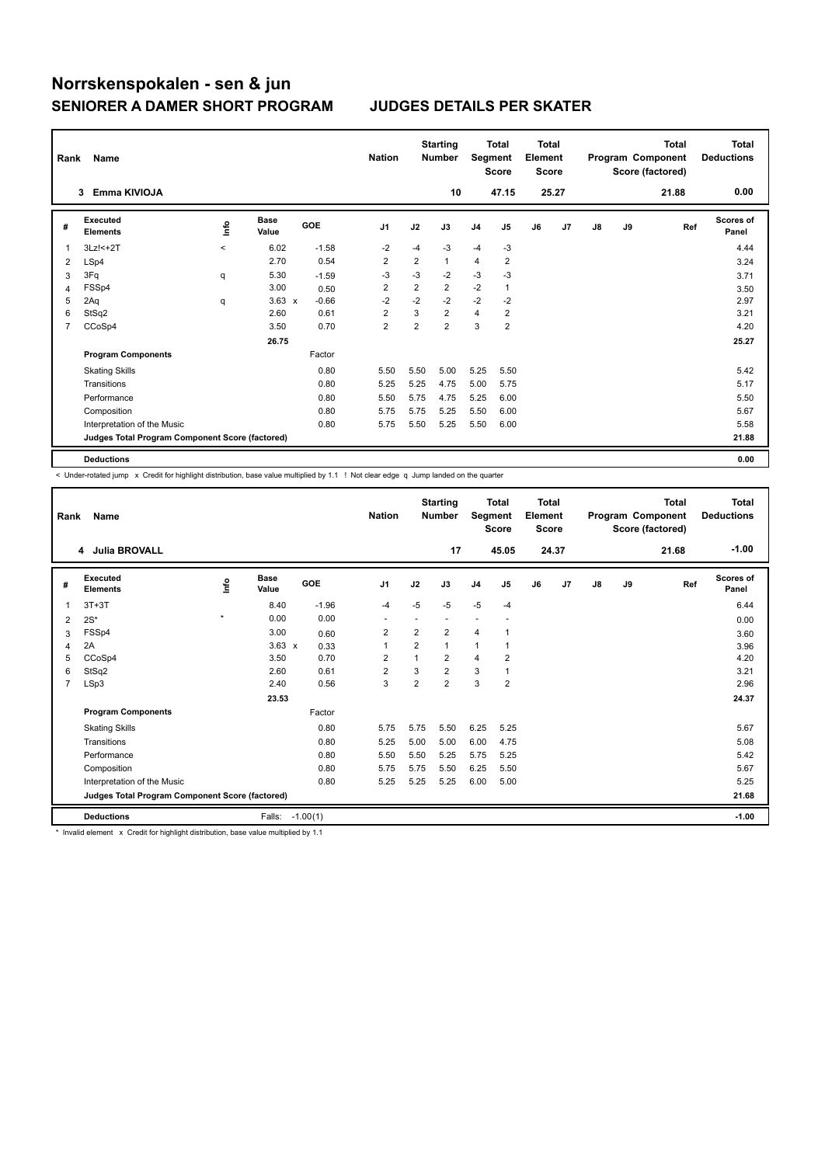| Rank | Name                                            |          |                      |            | <b>Nation</b>           |                         | <b>Starting</b><br><b>Number</b> | Segment        | Total<br><b>Score</b>   | <b>Total</b><br>Element<br><b>Score</b> |       |    |    | <b>Total</b><br>Program Component<br>Score (factored) | <b>Total</b><br><b>Deductions</b> |
|------|-------------------------------------------------|----------|----------------------|------------|-------------------------|-------------------------|----------------------------------|----------------|-------------------------|-----------------------------------------|-------|----|----|-------------------------------------------------------|-----------------------------------|
|      | Emma KIVIOJA<br>3                               |          |                      |            |                         |                         | 10                               |                | 47.15                   |                                         | 25.27 |    |    | 21.88                                                 | 0.00                              |
| #    | <b>Executed</b><br><b>Elements</b>              | ١nfo     | <b>Base</b><br>Value | <b>GOE</b> | J <sub>1</sub>          | J2                      | J3                               | J <sub>4</sub> | J5                      | J6                                      | J7    | J8 | J9 | Ref                                                   | <b>Scores of</b><br>Panel         |
| 1    | 3Lz!<+2T                                        | $\hat{}$ | 6.02                 | $-1.58$    | $-2$                    | $-4$                    | $-3$                             | $-4$           | -3                      |                                         |       |    |    |                                                       | 4.44                              |
| 2    | LSp4                                            |          | 2.70                 | 0.54       | $\overline{2}$          | $\overline{2}$          | $\mathbf{1}$                     | $\overline{4}$ | $\overline{2}$          |                                         |       |    |    |                                                       | 3.24                              |
| 3    | 3Fq                                             | q        | 5.30                 | $-1.59$    | $-3$                    | -3                      | $-2$                             | $-3$           | $-3$                    |                                         |       |    |    |                                                       | 3.71                              |
| 4    | FSSp4                                           |          | 3.00                 | 0.50       | $\overline{2}$          | $\overline{\mathbf{c}}$ | $\overline{2}$                   | $-2$           | $\mathbf{1}$            |                                         |       |    |    |                                                       | 3.50                              |
| 5    | 2Aq                                             | q        | $3.63 \times$        | $-0.66$    | $-2$                    | $-2$                    | $-2$                             | $-2$           | $-2$                    |                                         |       |    |    |                                                       | 2.97                              |
| 6    | StSq2                                           |          | 2.60                 | 0.61       | $\overline{2}$          | 3                       | $\overline{2}$                   | 4              | 2                       |                                         |       |    |    |                                                       | 3.21                              |
| 7    | CCoSp4                                          |          | 3.50                 | 0.70       | $\overline{\mathbf{c}}$ | $\overline{2}$          | $\overline{2}$                   | 3              | $\overline{\mathbf{c}}$ |                                         |       |    |    |                                                       | 4.20                              |
|      |                                                 |          | 26.75                |            |                         |                         |                                  |                |                         |                                         |       |    |    |                                                       | 25.27                             |
|      | <b>Program Components</b>                       |          |                      | Factor     |                         |                         |                                  |                |                         |                                         |       |    |    |                                                       |                                   |
|      | <b>Skating Skills</b>                           |          |                      | 0.80       | 5.50                    | 5.50                    | 5.00                             | 5.25           | 5.50                    |                                         |       |    |    |                                                       | 5.42                              |
|      | Transitions                                     |          |                      | 0.80       | 5.25                    | 5.25                    | 4.75                             | 5.00           | 5.75                    |                                         |       |    |    |                                                       | 5.17                              |
|      | Performance                                     |          |                      | 0.80       | 5.50                    | 5.75                    | 4.75                             | 5.25           | 6.00                    |                                         |       |    |    |                                                       | 5.50                              |
|      | Composition                                     |          |                      | 0.80       | 5.75                    | 5.75                    | 5.25                             | 5.50           | 6.00                    |                                         |       |    |    |                                                       | 5.67                              |
|      | Interpretation of the Music                     |          |                      | 0.80       | 5.75                    | 5.50                    | 5.25                             | 5.50           | 6.00                    |                                         |       |    |    |                                                       | 5.58                              |
|      | Judges Total Program Component Score (factored) |          |                      |            |                         |                         |                                  |                |                         |                                         |       |    |    |                                                       | 21.88                             |
|      | <b>Deductions</b>                               |          |                      |            |                         |                         |                                  |                |                         |                                         |       |    |    |                                                       | 0.00                              |

-<br>< Under-rotated jump x Credit for highlight distribution, base value multiplied by 1.1 ! Not clear edge q Jump landed on the quarter

| Rank           | Name<br>4 Julia BROVALL                         |         |                      |            | <b>Nation</b>  |                | <b>Starting</b><br><b>Number</b><br>17 | Segment        | <b>Total</b><br><b>Score</b><br>45.05 | <b>Total</b><br>Element<br><b>Score</b> | 24.37          |    |    | <b>Total</b><br>Program Component<br>Score (factored)<br>21.68 | <b>Total</b><br><b>Deductions</b><br>$-1.00$ |
|----------------|-------------------------------------------------|---------|----------------------|------------|----------------|----------------|----------------------------------------|----------------|---------------------------------------|-----------------------------------------|----------------|----|----|----------------------------------------------------------------|----------------------------------------------|
|                |                                                 |         |                      |            |                |                |                                        |                |                                       |                                         |                |    |    |                                                                |                                              |
| #              | Executed<br><b>Elements</b>                     | lnfo    | <b>Base</b><br>Value | GOE        | J1             | J2             | J3                                     | J <sub>4</sub> | J <sub>5</sub>                        | J6                                      | J <sub>7</sub> | J8 | J9 | Ref                                                            | Scores of<br>Panel                           |
| 1              | $3T+3T$                                         |         | 8.40                 | $-1.96$    | $-4$           | $-5$           | $-5$                                   | $-5$           | $-4$                                  |                                         |                |    |    |                                                                | 6.44                                         |
| 2              | $2S^*$                                          | $\star$ | 0.00                 | 0.00       | ۰              |                |                                        |                |                                       |                                         |                |    |    |                                                                | 0.00                                         |
| 3              | FSSp4                                           |         | 3.00                 | 0.60       | $\overline{2}$ | $\overline{2}$ | $\overline{2}$                         | 4              |                                       |                                         |                |    |    |                                                                | 3.60                                         |
| 4              | 2A                                              |         | $3.63 \times$        | 0.33       | $\overline{1}$ | $\overline{2}$ | $\mathbf{1}$                           | 1              | 1                                     |                                         |                |    |    |                                                                | 3.96                                         |
| 5              | CCoSp4                                          |         | 3.50                 | 0.70       | $\overline{2}$ | $\mathbf{1}$   | $\overline{2}$                         | 4              | $\overline{2}$                        |                                         |                |    |    |                                                                | 4.20                                         |
| 6              | StSq2                                           |         | 2.60                 | 0.61       | $\overline{2}$ | 3              | $\overline{2}$                         | 3              | $\mathbf{1}$                          |                                         |                |    |    |                                                                | 3.21                                         |
| $\overline{7}$ | LSp3                                            |         | 2.40                 | 0.56       | 3              | $\overline{2}$ | $\overline{2}$                         | 3              | $\overline{2}$                        |                                         |                |    |    |                                                                | 2.96                                         |
|                |                                                 |         | 23.53                |            |                |                |                                        |                |                                       |                                         |                |    |    |                                                                | 24.37                                        |
|                | <b>Program Components</b>                       |         |                      | Factor     |                |                |                                        |                |                                       |                                         |                |    |    |                                                                |                                              |
|                | <b>Skating Skills</b>                           |         |                      | 0.80       | 5.75           | 5.75           | 5.50                                   | 6.25           | 5.25                                  |                                         |                |    |    |                                                                | 5.67                                         |
|                | Transitions                                     |         |                      | 0.80       | 5.25           | 5.00           | 5.00                                   | 6.00           | 4.75                                  |                                         |                |    |    |                                                                | 5.08                                         |
|                | Performance                                     |         |                      | 0.80       | 5.50           | 5.50           | 5.25                                   | 5.75           | 5.25                                  |                                         |                |    |    |                                                                | 5.42                                         |
|                | Composition                                     |         |                      | 0.80       | 5.75           | 5.75           | 5.50                                   | 6.25           | 5.50                                  |                                         |                |    |    |                                                                | 5.67                                         |
|                | Interpretation of the Music                     |         |                      | 0.80       | 5.25           | 5.25           | 5.25                                   | 6.00           | 5.00                                  |                                         |                |    |    |                                                                | 5.25                                         |
|                | Judges Total Program Component Score (factored) |         |                      |            |                |                |                                        |                |                                       |                                         |                |    |    |                                                                | 21.68                                        |
|                | <b>Deductions</b>                               |         | Falls:               | $-1.00(1)$ |                |                |                                        |                |                                       |                                         |                |    |    |                                                                | $-1.00$                                      |

\* Invalid element x Credit for highlight distribution, base value multiplied by 1.1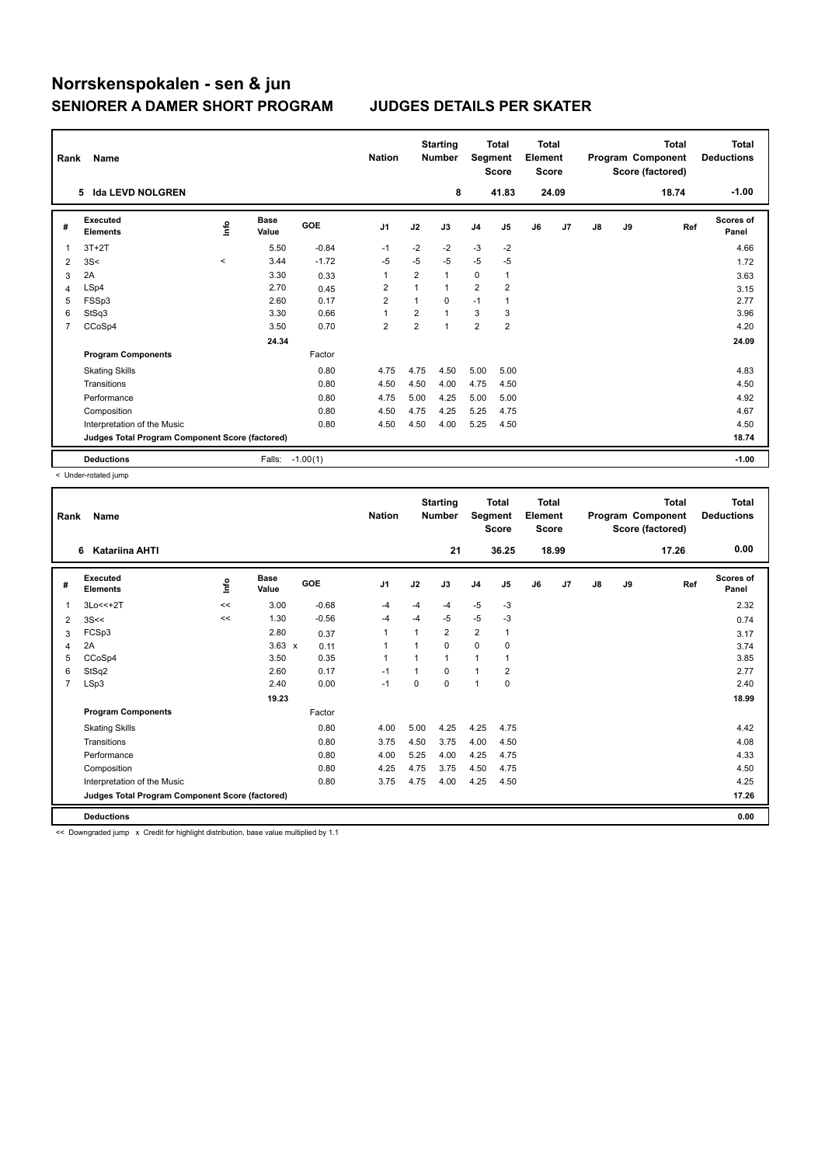| Rank           | Name                                            |         |                      |            | <b>Nation</b>  |                         | <b>Starting</b><br><b>Number</b> | Segment        | <b>Total</b><br><b>Score</b> | <b>Total</b><br>Element<br><b>Score</b> |       |    |    | <b>Total</b><br>Program Component<br>Score (factored) | Total<br><b>Deductions</b> |
|----------------|-------------------------------------------------|---------|----------------------|------------|----------------|-------------------------|----------------------------------|----------------|------------------------------|-----------------------------------------|-------|----|----|-------------------------------------------------------|----------------------------|
|                | <b>Ida LEVD NOLGREN</b><br>5.                   |         |                      |            |                |                         | 8                                |                | 41.83                        |                                         | 24.09 |    |    | 18.74                                                 | $-1.00$                    |
| #              | <b>Executed</b><br><b>Elements</b>              | ١nfo    | <b>Base</b><br>Value | <b>GOE</b> | J <sub>1</sub> | J2                      | J3                               | J <sub>4</sub> | J5                           | J6                                      | J7    | J8 | J9 | Ref                                                   | Scores of<br>Panel         |
| 1              | $3T+2T$                                         |         | 5.50                 | $-0.84$    | $-1$           | $-2$                    | $-2$                             | $-3$           | $-2$                         |                                         |       |    |    |                                                       | 4.66                       |
| $\overline{2}$ | 3S<                                             | $\prec$ | 3.44                 | $-1.72$    | -5             | $-5$                    | $-5$                             | $-5$           | -5                           |                                         |       |    |    |                                                       | 1.72                       |
| 3              | 2A                                              |         | 3.30                 | 0.33       | $\overline{1}$ | $\overline{\mathbf{c}}$ | 1                                | 0              | $\mathbf{1}$                 |                                         |       |    |    |                                                       | 3.63                       |
| 4              | LSp4                                            |         | 2.70                 | 0.45       | $\overline{2}$ | 1                       | $\mathbf{1}$                     | $\overline{2}$ | $\overline{\mathbf{c}}$      |                                         |       |    |    |                                                       | 3.15                       |
| 5              | FSSp3                                           |         | 2.60                 | 0.17       | $\overline{2}$ | 1                       | $\Omega$                         | $-1$           |                              |                                         |       |    |    |                                                       | 2.77                       |
| 6              | StSq3                                           |         | 3.30                 | 0.66       | 1              | $\overline{2}$          | $\overline{ }$                   | 3              | 3                            |                                         |       |    |    |                                                       | 3.96                       |
| 7              | CCoSp4                                          |         | 3.50                 | 0.70       | $\overline{2}$ | $\overline{2}$          | 1                                | $\overline{2}$ | $\overline{\mathbf{c}}$      |                                         |       |    |    |                                                       | 4.20                       |
|                |                                                 |         | 24.34                |            |                |                         |                                  |                |                              |                                         |       |    |    |                                                       | 24.09                      |
|                | <b>Program Components</b>                       |         |                      | Factor     |                |                         |                                  |                |                              |                                         |       |    |    |                                                       |                            |
|                | <b>Skating Skills</b>                           |         |                      | 0.80       | 4.75           | 4.75                    | 4.50                             | 5.00           | 5.00                         |                                         |       |    |    |                                                       | 4.83                       |
|                | Transitions                                     |         |                      | 0.80       | 4.50           | 4.50                    | 4.00                             | 4.75           | 4.50                         |                                         |       |    |    |                                                       | 4.50                       |
|                | Performance                                     |         |                      | 0.80       | 4.75           | 5.00                    | 4.25                             | 5.00           | 5.00                         |                                         |       |    |    |                                                       | 4.92                       |
|                | Composition                                     |         |                      | 0.80       | 4.50           | 4.75                    | 4.25                             | 5.25           | 4.75                         |                                         |       |    |    |                                                       | 4.67                       |
|                | Interpretation of the Music                     |         |                      | 0.80       | 4.50           | 4.50                    | 4.00                             | 5.25           | 4.50                         |                                         |       |    |    |                                                       | 4.50                       |
|                | Judges Total Program Component Score (factored) |         |                      |            |                |                         |                                  |                |                              |                                         |       |    |    |                                                       | 18.74                      |
|                | <b>Deductions</b>                               |         | Falls:               | $-1.00(1)$ |                |                         |                                  |                |                              |                                         |       |    |    |                                                       | $-1.00$                    |

< Under-rotated jump

| Rank           | Name<br>Katariina AHTI<br>6                     |      |                      |         |                |      | <b>Starting</b><br><b>Number</b> | Segment        | <b>Total</b><br><b>Score</b> | <b>Total</b><br>Element<br><b>Score</b> |                |    |    | <b>Total</b><br>Program Component<br>Score (factored) | <b>Total</b><br><b>Deductions</b> |
|----------------|-------------------------------------------------|------|----------------------|---------|----------------|------|----------------------------------|----------------|------------------------------|-----------------------------------------|----------------|----|----|-------------------------------------------------------|-----------------------------------|
|                |                                                 |      |                      |         |                |      | 21                               |                | 36.25                        |                                         | 18.99          |    |    | 17.26                                                 | 0.00                              |
| #              | <b>Executed</b><br><b>Elements</b>              | lnfo | <b>Base</b><br>Value | GOE     | J <sub>1</sub> | J2   | J3                               | J <sub>4</sub> | J <sub>5</sub>               | J6                                      | J <sub>7</sub> | J8 | J9 | Ref                                                   | <b>Scores of</b><br>Panel         |
| $\mathbf{1}$   | $3Lo<<+2T$                                      | <<   | 3.00                 | $-0.68$ | -4             | $-4$ | $-4$                             | $-5$           | $-3$                         |                                         |                |    |    |                                                       | 2.32                              |
| 2              | 3S<<                                            | <<   | 1.30                 | $-0.56$ | $-4$           | $-4$ | $-5$                             | $-5$           | $-3$                         |                                         |                |    |    |                                                       | 0.74                              |
| 3              | FCSp3                                           |      | 2.80                 | 0.37    | $\mathbf{1}$   | 1    | $\overline{2}$                   | $\overline{2}$ | 1                            |                                         |                |    |    |                                                       | 3.17                              |
| 4              | 2A                                              |      | $3.63 \times$        | 0.11    | -1             |      | 0                                | $\mathbf 0$    | 0                            |                                         |                |    |    |                                                       | 3.74                              |
| 5              | CCoSp4                                          |      | 3.50                 | 0.35    | $\mathbf{1}$   |      | $\mathbf{1}$                     | 1              |                              |                                         |                |    |    |                                                       | 3.85                              |
| 6              | StSq2                                           |      | 2.60                 | 0.17    | $-1$           |      | 0                                | $\overline{1}$ | 2                            |                                         |                |    |    |                                                       | 2.77                              |
| $\overline{7}$ | LSp3                                            |      | 2.40                 | 0.00    | $-1$           | 0    | 0                                | 1              | $\mathbf 0$                  |                                         |                |    |    |                                                       | 2.40                              |
|                |                                                 |      | 19.23                |         |                |      |                                  |                |                              |                                         |                |    |    |                                                       | 18.99                             |
|                | <b>Program Components</b>                       |      |                      | Factor  |                |      |                                  |                |                              |                                         |                |    |    |                                                       |                                   |
|                | <b>Skating Skills</b>                           |      |                      | 0.80    | 4.00           | 5.00 | 4.25                             | 4.25           | 4.75                         |                                         |                |    |    |                                                       | 4.42                              |
|                | Transitions                                     |      |                      | 0.80    | 3.75           | 4.50 | 3.75                             | 4.00           | 4.50                         |                                         |                |    |    |                                                       | 4.08                              |
|                | Performance                                     |      |                      | 0.80    | 4.00           | 5.25 | 4.00                             | 4.25           | 4.75                         |                                         |                |    |    |                                                       | 4.33                              |
|                | Composition                                     |      |                      | 0.80    | 4.25           | 4.75 | 3.75                             | 4.50           | 4.75                         |                                         |                |    |    |                                                       | 4.50                              |
|                | Interpretation of the Music                     |      |                      | 0.80    | 3.75           | 4.75 | 4.00                             | 4.25           | 4.50                         |                                         |                |    |    |                                                       | 4.25                              |
|                | Judges Total Program Component Score (factored) |      |                      |         |                |      |                                  |                |                              |                                         |                |    |    |                                                       | 17.26                             |
|                | <b>Deductions</b>                               |      |                      |         |                |      |                                  |                |                              |                                         |                |    |    |                                                       | 0.00                              |
|                |                                                 |      |                      |         |                |      |                                  |                |                              |                                         |                |    |    |                                                       |                                   |

<< Downgraded jump x Credit for highlight distribution, base value multiplied by 1.1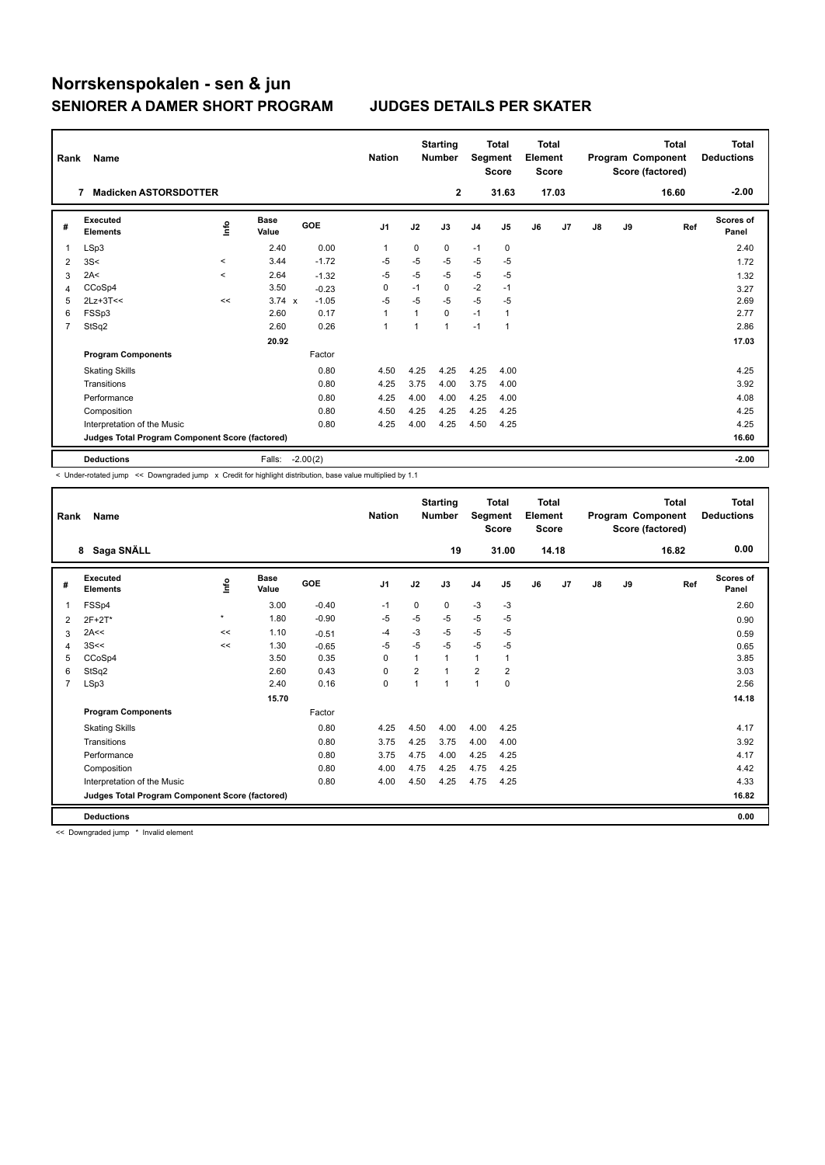| Rank | Name                                            |         |                      |            | <b>Nation</b>  |                | <b>Starting</b><br><b>Number</b> | Segment        | <b>Total</b><br><b>Score</b> | Total<br>Element<br><b>Score</b> |       |               |    | <b>Total</b><br>Program Component<br>Score (factored) | <b>Total</b><br><b>Deductions</b> |
|------|-------------------------------------------------|---------|----------------------|------------|----------------|----------------|----------------------------------|----------------|------------------------------|----------------------------------|-------|---------------|----|-------------------------------------------------------|-----------------------------------|
|      | <b>Madicken ASTORSDOTTER</b><br>7               |         |                      |            |                |                | $\mathbf{2}$                     |                | 31.63                        |                                  | 17.03 |               |    | 16.60                                                 | $-2.00$                           |
| #    | Executed<br><b>Elements</b>                     | ١nfo    | <b>Base</b><br>Value | GOE        | J <sub>1</sub> | J2             | J3                               | J <sub>4</sub> | J5                           | J6                               | J7    | $\mathsf{J}8$ | J9 | Ref                                                   | <b>Scores of</b><br>Panel         |
| 1    | LSp3                                            |         | 2.40                 | 0.00       | 1              | 0              | 0                                | $-1$           | 0                            |                                  |       |               |    |                                                       | 2.40                              |
| 2    | 3S<                                             | $\prec$ | 3.44                 | $-1.72$    | $-5$           | $-5$           | $-5$                             | $-5$           | $-5$                         |                                  |       |               |    |                                                       | 1.72                              |
| 3    | 2A<                                             | $\prec$ | 2.64                 | $-1.32$    | $-5$           | $-5$           | $-5$                             | $-5$           | $-5$                         |                                  |       |               |    |                                                       | 1.32                              |
| 4    | CCoSp4                                          |         | 3.50                 | $-0.23$    | 0              | $-1$           | 0                                | $-2$           | $-1$                         |                                  |       |               |    |                                                       | 3.27                              |
| 5    | $2Lz+3T<<$                                      | <<      | $3.74 \times$        | $-1.05$    | $-5$           | $-5$           | $-5$                             | $-5$           | $-5$                         |                                  |       |               |    |                                                       | 2.69                              |
| 6    | FSSp3                                           |         | 2.60                 | 0.17       | 1              | 1              | 0                                | $-1$           | 1                            |                                  |       |               |    |                                                       | 2.77                              |
| 7    | StSq2                                           |         | 2.60                 | 0.26       | $\mathbf{1}$   | $\overline{ }$ | $\overline{1}$                   | $-1$           | 1                            |                                  |       |               |    |                                                       | 2.86                              |
|      |                                                 |         | 20.92                |            |                |                |                                  |                |                              |                                  |       |               |    |                                                       | 17.03                             |
|      | <b>Program Components</b>                       |         |                      | Factor     |                |                |                                  |                |                              |                                  |       |               |    |                                                       |                                   |
|      | <b>Skating Skills</b>                           |         |                      | 0.80       | 4.50           | 4.25           | 4.25                             | 4.25           | 4.00                         |                                  |       |               |    |                                                       | 4.25                              |
|      | Transitions                                     |         |                      | 0.80       | 4.25           | 3.75           | 4.00                             | 3.75           | 4.00                         |                                  |       |               |    |                                                       | 3.92                              |
|      | Performance                                     |         |                      | 0.80       | 4.25           | 4.00           | 4.00                             | 4.25           | 4.00                         |                                  |       |               |    |                                                       | 4.08                              |
|      | Composition                                     |         |                      | 0.80       | 4.50           | 4.25           | 4.25                             | 4.25           | 4.25                         |                                  |       |               |    |                                                       | 4.25                              |
|      | Interpretation of the Music                     |         |                      | 0.80       | 4.25           | 4.00           | 4.25                             | 4.50           | 4.25                         |                                  |       |               |    |                                                       | 4.25                              |
|      | Judges Total Program Component Score (factored) |         |                      |            |                |                |                                  |                |                              |                                  |       |               |    |                                                       | 16.60                             |
|      | <b>Deductions</b>                               |         | Falls:               | $-2.00(2)$ |                |                |                                  |                |                              |                                  |       |               |    |                                                       | $-2.00$                           |

-<br>< Under-rotated jump << Downgraded jump x Credit for highlight distribution, base value multiplied by 1.1

| Rank | Name                                            |         |                      |         | <b>Nation</b>  |                | <b>Starting</b><br><b>Number</b> | Segment        | <b>Total</b><br><b>Score</b> | Total<br>Element<br><b>Score</b> |       |    |    | Total<br>Program Component<br>Score (factored) | <b>Total</b><br><b>Deductions</b> |
|------|-------------------------------------------------|---------|----------------------|---------|----------------|----------------|----------------------------------|----------------|------------------------------|----------------------------------|-------|----|----|------------------------------------------------|-----------------------------------|
|      | 8 Saga SNÄLL                                    |         |                      |         |                |                | 19                               |                | 31.00                        |                                  | 14.18 |    |    | 16.82                                          | 0.00                              |
| #    | Executed<br><b>Elements</b>                     | lnfo    | <b>Base</b><br>Value | GOE     | J <sub>1</sub> | J2             | J3                               | J <sub>4</sub> | J5                           | J6                               | J7    | J8 | J9 | Ref                                            | <b>Scores of</b><br>Panel         |
| 1    | FSSp4                                           |         | 3.00                 | $-0.40$ | $-1$           | 0              | 0                                | $-3$           | $-3$                         |                                  |       |    |    |                                                | 2.60                              |
| 2    | $2F+2T*$                                        | $\star$ | 1.80                 | $-0.90$ | $-5$           | $-5$           | $-5$                             | $-5$           | $-5$                         |                                  |       |    |    |                                                | 0.90                              |
| 3    | 2A<<                                            | <<      | 1.10                 | $-0.51$ | $-4$           | $-3$           | $-5$                             | $-5$           | $-5$                         |                                  |       |    |    |                                                | 0.59                              |
| 4    | 3S<<                                            | <<      | 1.30                 | $-0.65$ | $-5$           | $-5$           | $-5$                             | $-5$           | $-5$                         |                                  |       |    |    |                                                | 0.65                              |
| 5    | CCoSp4                                          |         | 3.50                 | 0.35    | 0              | 1              | 1                                | $\mathbf{1}$   | 1                            |                                  |       |    |    |                                                | 3.85                              |
| 6    | StSq2                                           |         | 2.60                 | 0.43    | 0              | $\overline{2}$ | $\overline{1}$                   | $\overline{2}$ | $\overline{2}$               |                                  |       |    |    |                                                | 3.03                              |
| 7    | LSp3                                            |         | 2.40                 | 0.16    | 0              | $\overline{1}$ | $\overline{1}$                   | 1              | 0                            |                                  |       |    |    |                                                | 2.56                              |
|      |                                                 |         | 15.70                |         |                |                |                                  |                |                              |                                  |       |    |    |                                                | 14.18                             |
|      | <b>Program Components</b>                       |         |                      | Factor  |                |                |                                  |                |                              |                                  |       |    |    |                                                |                                   |
|      | <b>Skating Skills</b>                           |         |                      | 0.80    | 4.25           | 4.50           | 4.00                             | 4.00           | 4.25                         |                                  |       |    |    |                                                | 4.17                              |
|      | Transitions                                     |         |                      | 0.80    | 3.75           | 4.25           | 3.75                             | 4.00           | 4.00                         |                                  |       |    |    |                                                | 3.92                              |
|      | Performance                                     |         |                      | 0.80    | 3.75           | 4.75           | 4.00                             | 4.25           | 4.25                         |                                  |       |    |    |                                                | 4.17                              |
|      | Composition                                     |         |                      | 0.80    | 4.00           | 4.75           | 4.25                             | 4.75           | 4.25                         |                                  |       |    |    |                                                | 4.42                              |
|      | Interpretation of the Music                     |         |                      | 0.80    | 4.00           | 4.50           | 4.25                             | 4.75           | 4.25                         |                                  |       |    |    |                                                | 4.33                              |
|      | Judges Total Program Component Score (factored) |         |                      |         |                |                |                                  |                |                              |                                  |       |    |    |                                                | 16.82                             |
|      | <b>Deductions</b>                               |         |                      |         |                |                |                                  |                |                              |                                  |       |    |    |                                                | 0.00                              |

<< Downgraded jump \* Invalid element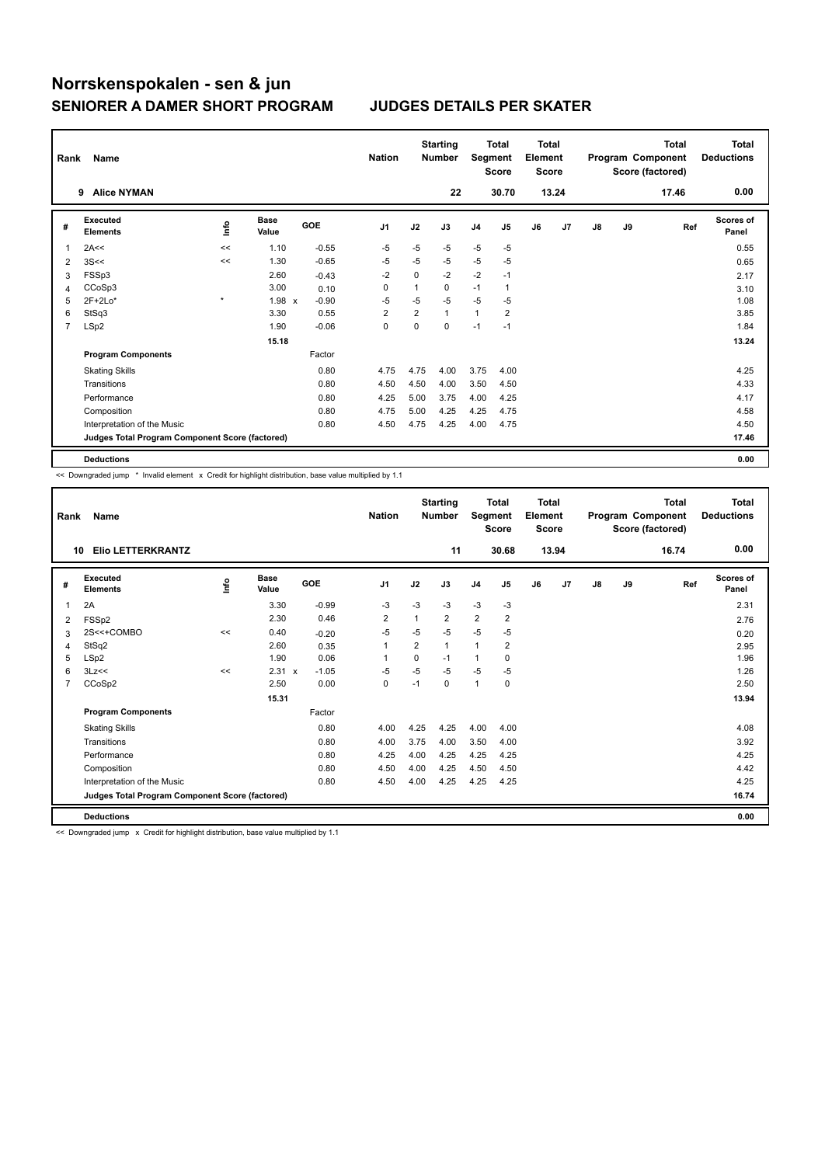| Rank           | Name                                            |             |                      |            | <b>Nation</b>  |                | <b>Starting</b><br><b>Number</b> | Segment        | Total<br><b>Score</b> | <b>Total</b><br>Element<br><b>Score</b> |       |               |    | <b>Total</b><br>Program Component<br>Score (factored) | <b>Total</b><br><b>Deductions</b> |
|----------------|-------------------------------------------------|-------------|----------------------|------------|----------------|----------------|----------------------------------|----------------|-----------------------|-----------------------------------------|-------|---------------|----|-------------------------------------------------------|-----------------------------------|
|                | <b>Alice NYMAN</b><br>9                         |             |                      |            |                |                | 22                               |                | 30.70                 |                                         | 13.24 |               |    | 17.46                                                 | 0.00                              |
| #              | Executed<br><b>Elements</b>                     | <u>info</u> | <b>Base</b><br>Value | <b>GOE</b> | J <sub>1</sub> | J2             | J3                               | J <sub>4</sub> | J <sub>5</sub>        | J6                                      | J7    | $\mathsf{J}8$ | J9 | Ref                                                   | <b>Scores of</b><br>Panel         |
| -1             | 2A<<                                            | <<          | 1.10                 | $-0.55$    | $-5$           | $-5$           | $-5$                             | $-5$           | $-5$                  |                                         |       |               |    |                                                       | 0.55                              |
| $\overline{2}$ | 3S<<                                            | <<          | 1.30                 | $-0.65$    | $-5$           | $-5$           | $-5$                             | $-5$           | $-5$                  |                                         |       |               |    |                                                       | 0.65                              |
| 3              | FSSp3                                           |             | 2.60                 | $-0.43$    | $-2$           | 0              | $-2$                             | $-2$           | $-1$                  |                                         |       |               |    |                                                       | 2.17                              |
| 4              | CCoSp3                                          |             | 3.00                 | 0.10       | 0              | $\mathbf{1}$   | 0                                | $-1$           | $\mathbf{1}$          |                                         |       |               |    |                                                       | 3.10                              |
| 5              | $2F+2Lo*$                                       | $\star$     | $1.98 \times$        | $-0.90$    | $-5$           | $-5$           | $-5$                             | $-5$           | $-5$                  |                                         |       |               |    |                                                       | 1.08                              |
| 6              | StSq3                                           |             | 3.30                 | 0.55       | $\overline{2}$ | $\overline{2}$ | $\mathbf{1}$                     | $\mathbf{1}$   | 2                     |                                         |       |               |    |                                                       | 3.85                              |
| $\overline{7}$ | LSp2                                            |             | 1.90                 | $-0.06$    | 0              | 0              | 0                                | $-1$           | $-1$                  |                                         |       |               |    |                                                       | 1.84                              |
|                |                                                 |             | 15.18                |            |                |                |                                  |                |                       |                                         |       |               |    |                                                       | 13.24                             |
|                | <b>Program Components</b>                       |             |                      | Factor     |                |                |                                  |                |                       |                                         |       |               |    |                                                       |                                   |
|                | <b>Skating Skills</b>                           |             |                      | 0.80       | 4.75           | 4.75           | 4.00                             | 3.75           | 4.00                  |                                         |       |               |    |                                                       | 4.25                              |
|                | Transitions                                     |             |                      | 0.80       | 4.50           | 4.50           | 4.00                             | 3.50           | 4.50                  |                                         |       |               |    |                                                       | 4.33                              |
|                | Performance                                     |             |                      | 0.80       | 4.25           | 5.00           | 3.75                             | 4.00           | 4.25                  |                                         |       |               |    |                                                       | 4.17                              |
|                | Composition                                     |             |                      | 0.80       | 4.75           | 5.00           | 4.25                             | 4.25           | 4.75                  |                                         |       |               |    |                                                       | 4.58                              |
|                | Interpretation of the Music                     |             |                      | 0.80       | 4.50           | 4.75           | 4.25                             | 4.00           | 4.75                  |                                         |       |               |    |                                                       | 4.50                              |
|                | Judges Total Program Component Score (factored) |             |                      |            |                |                |                                  |                |                       |                                         |       |               |    |                                                       | 17.46                             |
|                | <b>Deductions</b>                               |             |                      |            |                |                |                                  |                |                       |                                         |       |               |    |                                                       | 0.00                              |

<< Downgraded jump \* Invalid element x Credit for highlight distribution, base value multiplied by 1.1

| Rank | Name                                            |      |                      |            | <b>Nation</b>  |                | <b>Starting</b><br><b>Number</b> | Segment        | <b>Total</b><br><b>Score</b> | Total<br>Element<br><b>Score</b> |       |               |    | <b>Total</b><br>Program Component<br>Score (factored) | Total<br><b>Deductions</b> |
|------|-------------------------------------------------|------|----------------------|------------|----------------|----------------|----------------------------------|----------------|------------------------------|----------------------------------|-------|---------------|----|-------------------------------------------------------|----------------------------|
| 10   | <b>Elio LETTERKRANTZ</b>                        |      |                      |            |                |                | 11                               |                | 30.68                        |                                  | 13.94 |               |    | 16.74                                                 | 0.00                       |
| #    | Executed<br><b>Elements</b>                     | ١nf٥ | <b>Base</b><br>Value | <b>GOE</b> | J <sub>1</sub> | J2             | J3                               | J <sub>4</sub> | J <sub>5</sub>               | J6                               | J7    | $\mathsf{J}8$ | J9 | Ref                                                   | <b>Scores of</b><br>Panel  |
| 1    | 2A                                              |      | 3.30                 | $-0.99$    | $-3$           | $-3$           | $-3$                             | $-3$           | $-3$                         |                                  |       |               |    |                                                       | 2.31                       |
| 2    | FSSp2                                           |      | 2.30                 | 0.46       | $\overline{2}$ | $\mathbf{1}$   | $\overline{2}$                   | $\overline{2}$ | $\overline{2}$               |                                  |       |               |    |                                                       | 2.76                       |
| 3    | 2S<<+COMBO                                      | <<   | 0.40                 | $-0.20$    | $-5$           | $-5$           | $-5$                             | $-5$           | $-5$                         |                                  |       |               |    |                                                       | 0.20                       |
| 4    | StSq2                                           |      | 2.60                 | 0.35       | $\mathbf{1}$   | $\overline{2}$ | $\mathbf{1}$                     | $\mathbf{1}$   | $\overline{2}$               |                                  |       |               |    |                                                       | 2.95                       |
| 5    | LSp2                                            |      | 1.90                 | 0.06       | 1              | 0              | $-1$                             | $\mathbf{1}$   | 0                            |                                  |       |               |    |                                                       | 1.96                       |
| 6    | 3Lz<<                                           | <<   | 2.31 x               | $-1.05$    | $-5$           | $-5$           | $-5$                             | $-5$           | $-5$                         |                                  |       |               |    |                                                       | 1.26                       |
| 7    | CCoSp2                                          |      | 2.50                 | 0.00       | 0              | $-1$           | 0                                | $\mathbf{1}$   | 0                            |                                  |       |               |    |                                                       | 2.50                       |
|      |                                                 |      | 15.31                |            |                |                |                                  |                |                              |                                  |       |               |    |                                                       | 13.94                      |
|      | <b>Program Components</b>                       |      |                      | Factor     |                |                |                                  |                |                              |                                  |       |               |    |                                                       |                            |
|      | <b>Skating Skills</b>                           |      |                      | 0.80       | 4.00           | 4.25           | 4.25                             | 4.00           | 4.00                         |                                  |       |               |    |                                                       | 4.08                       |
|      | Transitions                                     |      |                      | 0.80       | 4.00           | 3.75           | 4.00                             | 3.50           | 4.00                         |                                  |       |               |    |                                                       | 3.92                       |
|      | Performance                                     |      |                      | 0.80       | 4.25           | 4.00           | 4.25                             | 4.25           | 4.25                         |                                  |       |               |    |                                                       | 4.25                       |
|      | Composition                                     |      |                      | 0.80       | 4.50           | 4.00           | 4.25                             | 4.50           | 4.50                         |                                  |       |               |    |                                                       | 4.42                       |
|      | Interpretation of the Music                     |      |                      | 0.80       | 4.50           | 4.00           | 4.25                             | 4.25           | 4.25                         |                                  |       |               |    |                                                       | 4.25                       |
|      | Judges Total Program Component Score (factored) |      |                      |            |                |                |                                  |                |                              |                                  |       |               |    |                                                       | 16.74                      |
|      | <b>Deductions</b>                               |      |                      |            |                |                |                                  |                |                              |                                  |       |               |    |                                                       | 0.00                       |

<< Downgraded jump x Credit for highlight distribution, base value multiplied by 1.1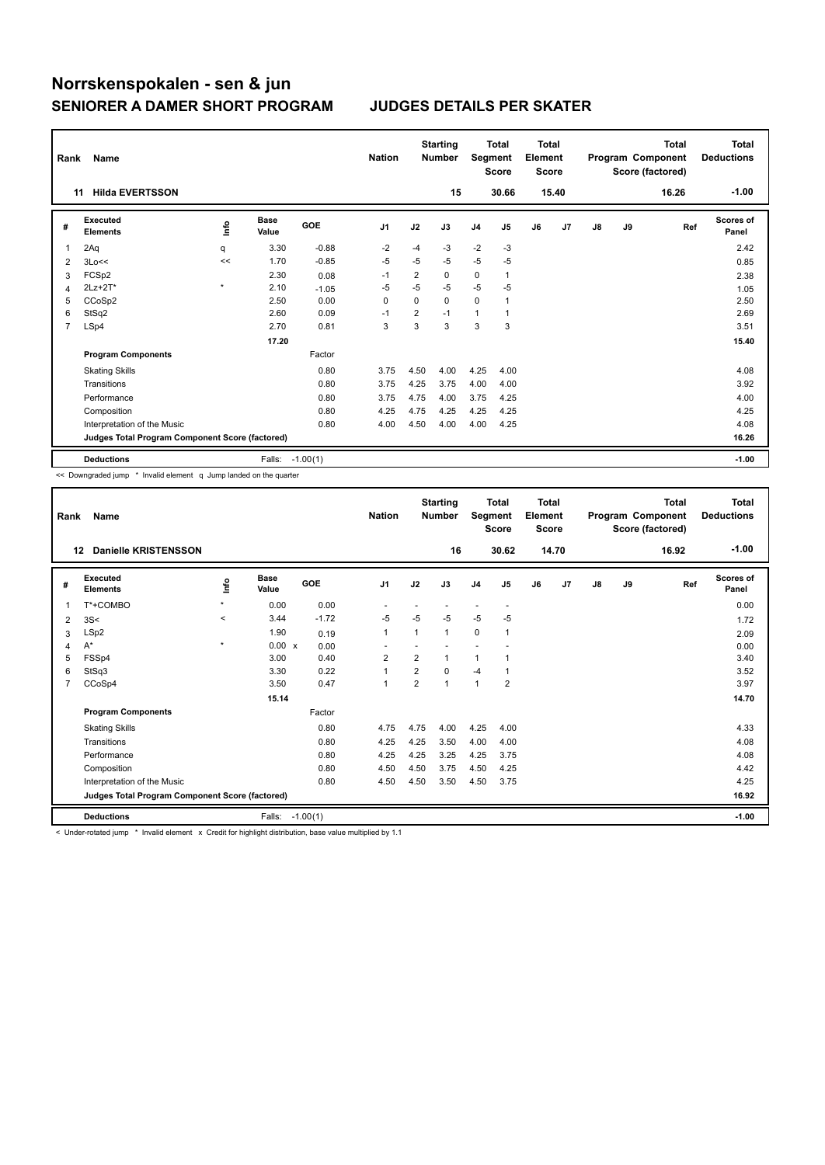| Rank | Name                                            |         |                      |            | <b>Nation</b>  |                | <b>Starting</b><br><b>Number</b> | Segment        | <b>Total</b><br><b>Score</b> | <b>Total</b><br>Element<br><b>Score</b> |                |    |    | <b>Total</b><br>Program Component<br>Score (factored) | Total<br><b>Deductions</b> |
|------|-------------------------------------------------|---------|----------------------|------------|----------------|----------------|----------------------------------|----------------|------------------------------|-----------------------------------------|----------------|----|----|-------------------------------------------------------|----------------------------|
| 11   | <b>Hilda EVERTSSON</b>                          |         |                      |            |                |                | 15                               |                | 30.66                        |                                         | 15.40          |    |    | 16.26                                                 | $-1.00$                    |
| #    | <b>Executed</b><br><b>Elements</b>              | ۴٥      | <b>Base</b><br>Value | <b>GOE</b> | J <sub>1</sub> | J2             | J3                               | J <sub>4</sub> | J <sub>5</sub>               | J6                                      | J <sub>7</sub> | J8 | J9 | Ref                                                   | <b>Scores of</b><br>Panel  |
| 1    | 2Aq                                             | q       | 3.30                 | $-0.88$    | $-2$           | $-4$           | $-3$                             | $-2$           | $-3$                         |                                         |                |    |    |                                                       | 2.42                       |
| 2    | 3Lo<<                                           | <<      | 1.70                 | $-0.85$    | $-5$           | $-5$           | $-5$                             | $-5$           | -5                           |                                         |                |    |    |                                                       | 0.85                       |
| 3    | FCSp2                                           |         | 2.30                 | 0.08       | $-1$           | 2              | 0                                | 0              | $\mathbf{1}$                 |                                         |                |    |    |                                                       | 2.38                       |
| 4    | 2Lz+2T*                                         | $\star$ | 2.10                 | $-1.05$    | $-5$           | $-5$           | $-5$                             | $-5$           | $-5$                         |                                         |                |    |    |                                                       | 1.05                       |
| 5    | CCoSp2                                          |         | 2.50                 | 0.00       | 0              | 0              | 0                                | $\mathbf 0$    | 1                            |                                         |                |    |    |                                                       | 2.50                       |
| 6    | StSq2                                           |         | 2.60                 | 0.09       | $-1$           | $\overline{2}$ | $-1$                             | $\mathbf{1}$   | 1                            |                                         |                |    |    |                                                       | 2.69                       |
| 7    | LSp4                                            |         | 2.70                 | 0.81       | 3              | 3              | 3                                | 3              | 3                            |                                         |                |    |    |                                                       | 3.51                       |
|      |                                                 |         | 17.20                |            |                |                |                                  |                |                              |                                         |                |    |    |                                                       | 15.40                      |
|      | <b>Program Components</b>                       |         |                      | Factor     |                |                |                                  |                |                              |                                         |                |    |    |                                                       |                            |
|      | <b>Skating Skills</b>                           |         |                      | 0.80       | 3.75           | 4.50           | 4.00                             | 4.25           | 4.00                         |                                         |                |    |    |                                                       | 4.08                       |
|      | Transitions                                     |         |                      | 0.80       | 3.75           | 4.25           | 3.75                             | 4.00           | 4.00                         |                                         |                |    |    |                                                       | 3.92                       |
|      | Performance                                     |         |                      | 0.80       | 3.75           | 4.75           | 4.00                             | 3.75           | 4.25                         |                                         |                |    |    |                                                       | 4.00                       |
|      | Composition                                     |         |                      | 0.80       | 4.25           | 4.75           | 4.25                             | 4.25           | 4.25                         |                                         |                |    |    |                                                       | 4.25                       |
|      | Interpretation of the Music                     |         |                      | 0.80       | 4.00           | 4.50           | 4.00                             | 4.00           | 4.25                         |                                         |                |    |    |                                                       | 4.08                       |
|      | Judges Total Program Component Score (factored) |         |                      |            |                |                |                                  |                |                              |                                         |                |    |    |                                                       | 16.26                      |
|      | <b>Deductions</b>                               |         | Falls:               | $-1.00(1)$ |                |                |                                  |                |                              |                                         |                |    |    |                                                       | $-1.00$                    |

<< Downgraded jump \* Invalid element q Jump landed on the quarter

| Rank           | <b>Name</b>                                     |         |                      |            | <b>Nation</b>            |                | <b>Starting</b><br><b>Number</b> | Segment        | <b>Total</b><br><b>Score</b> | <b>Total</b><br>Element<br><b>Score</b> |       |    |    | <b>Total</b><br>Program Component<br>Score (factored) | <b>Total</b><br><b>Deductions</b> |
|----------------|-------------------------------------------------|---------|----------------------|------------|--------------------------|----------------|----------------------------------|----------------|------------------------------|-----------------------------------------|-------|----|----|-------------------------------------------------------|-----------------------------------|
|                | <b>Danielle KRISTENSSON</b><br>$12 \,$          |         |                      |            |                          |                | 16                               |                | 30.62                        |                                         | 14.70 |    |    | 16.92                                                 | $-1.00$                           |
| #              | <b>Executed</b><br><b>Elements</b>              | ١nf٥    | <b>Base</b><br>Value | GOE        | J <sub>1</sub>           | J2             | J3                               | J <sub>4</sub> | J <sub>5</sub>               | J6                                      | J7    | J8 | J9 | Ref                                                   | <b>Scores of</b><br>Panel         |
|                | T*+COMBO                                        | $\star$ | 0.00                 | 0.00       | $\overline{\phantom{a}}$ |                |                                  | ٠              | $\overline{\phantom{a}}$     |                                         |       |    |    |                                                       | 0.00                              |
| 2              | 3S<                                             | $\prec$ | 3.44                 | $-1.72$    | $-5$                     | $-5$           | $-5$                             | $-5$           | $-5$                         |                                         |       |    |    |                                                       | 1.72                              |
| 3              | LSp2                                            |         | 1.90                 | 0.19       | $\mathbf{1}$             | 1              | 1                                | 0              | 1                            |                                         |       |    |    |                                                       | 2.09                              |
| 4              | A*                                              | $\star$ | 0.00 x               | 0.00       |                          |                |                                  |                |                              |                                         |       |    |    |                                                       | 0.00                              |
| 5              | FSSp4                                           |         | 3.00                 | 0.40       | $\overline{2}$           | $\overline{2}$ | 1                                | $\mathbf{1}$   |                              |                                         |       |    |    |                                                       | 3.40                              |
| 6              | StSq3                                           |         | 3.30                 | 0.22       | $\mathbf{1}$             | $\overline{2}$ | 0                                | $-4$           |                              |                                         |       |    |    |                                                       | 3.52                              |
| $\overline{7}$ | CCoSp4                                          |         | 3.50                 | 0.47       | $\mathbf{1}$             | 2              | $\overline{1}$                   | $\mathbf{1}$   | $\overline{2}$               |                                         |       |    |    |                                                       | 3.97                              |
|                |                                                 |         | 15.14                |            |                          |                |                                  |                |                              |                                         |       |    |    |                                                       | 14.70                             |
|                | <b>Program Components</b>                       |         |                      | Factor     |                          |                |                                  |                |                              |                                         |       |    |    |                                                       |                                   |
|                | <b>Skating Skills</b>                           |         |                      | 0.80       | 4.75                     | 4.75           | 4.00                             | 4.25           | 4.00                         |                                         |       |    |    |                                                       | 4.33                              |
|                | Transitions                                     |         |                      | 0.80       | 4.25                     | 4.25           | 3.50                             | 4.00           | 4.00                         |                                         |       |    |    |                                                       | 4.08                              |
|                | Performance                                     |         |                      | 0.80       | 4.25                     | 4.25           | 3.25                             | 4.25           | 3.75                         |                                         |       |    |    |                                                       | 4.08                              |
|                | Composition                                     |         |                      | 0.80       | 4.50                     | 4.50           | 3.75                             | 4.50           | 4.25                         |                                         |       |    |    |                                                       | 4.42                              |
|                | Interpretation of the Music                     |         |                      | 0.80       | 4.50                     | 4.50           | 3.50                             | 4.50           | 3.75                         |                                         |       |    |    |                                                       | 4.25                              |
|                | Judges Total Program Component Score (factored) |         |                      |            |                          |                |                                  |                |                              |                                         |       |    |    |                                                       | 16.92                             |
|                | <b>Deductions</b>                               |         | Falls:               | $-1.00(1)$ |                          |                |                                  |                |                              |                                         |       |    |    |                                                       | $-1.00$                           |

< Under-rotated jump \* Invalid element x Credit for highlight distribution, base value multiplied by 1.1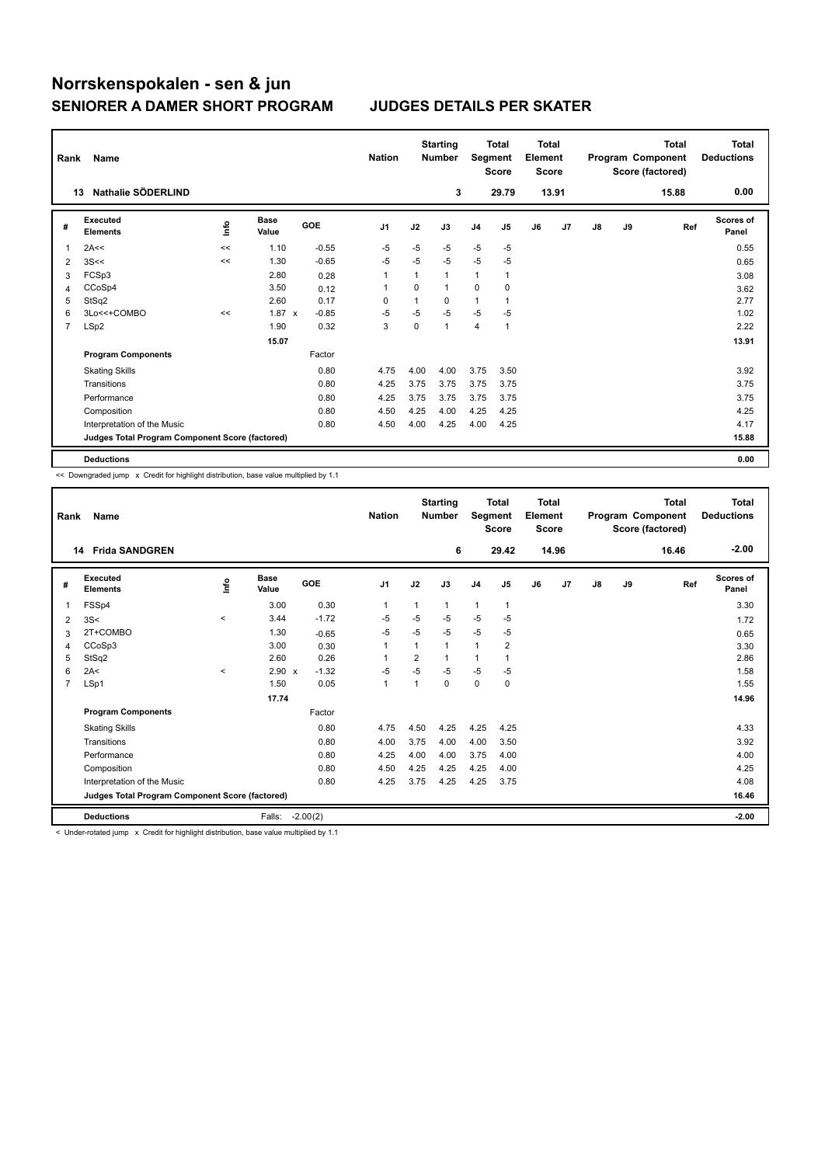| Rank | Name                                            |      |                      |         | <b>Nation</b>  |          | <b>Starting</b><br><b>Number</b> | Segment        | <b>Total</b><br><b>Score</b> | <b>Total</b><br>Element<br><b>Score</b> |       |               |    | <b>Total</b><br>Program Component<br>Score (factored) | Total<br><b>Deductions</b> |
|------|-------------------------------------------------|------|----------------------|---------|----------------|----------|----------------------------------|----------------|------------------------------|-----------------------------------------|-------|---------------|----|-------------------------------------------------------|----------------------------|
|      | Nathalie SÖDERLIND<br>13                        |      |                      |         |                |          | 3                                |                | 29.79                        |                                         | 13.91 |               |    | 15.88                                                 | 0.00                       |
| #    | <b>Executed</b><br><b>Elements</b>              | ١nfo | <b>Base</b><br>Value | GOE     | J <sub>1</sub> | J2       | J3                               | J <sub>4</sub> | J5                           | J6                                      | J7    | $\mathsf{J}8$ | J9 | Ref                                                   | Scores of<br>Panel         |
| 1    | 2A<<                                            | <<   | 1.10                 | $-0.55$ | $-5$           | $-5$     | $-5$                             | $-5$           | $-5$                         |                                         |       |               |    |                                                       | 0.55                       |
| 2    | 3S<<                                            | <<   | 1.30                 | $-0.65$ | $-5$           | $-5$     | $-5$                             | $-5$           | $-5$                         |                                         |       |               |    |                                                       | 0.65                       |
| 3    | FCSp3                                           |      | 2.80                 | 0.28    | 1              | 1        | $\overline{1}$                   | 1              |                              |                                         |       |               |    |                                                       | 3.08                       |
| 4    | CCoSp4                                          |      | 3.50                 | 0.12    | -1             | $\Omega$ | $\mathbf{1}$                     | 0              | 0                            |                                         |       |               |    |                                                       | 3.62                       |
| 5    | StSq2                                           |      | 2.60                 | 0.17    | 0              | 1        | 0                                | $\mathbf{1}$   |                              |                                         |       |               |    |                                                       | 2.77                       |
| 6    | 3Lo<<+COMBO                                     | <<   | $1.87 \times$        | $-0.85$ | $-5$           | $-5$     | $-5$                             | $-5$           | $-5$                         |                                         |       |               |    |                                                       | 1.02                       |
| 7    | LSp2                                            |      | 1.90                 | 0.32    | 3              | 0        | 1                                | 4              | $\mathbf{1}$                 |                                         |       |               |    |                                                       | 2.22                       |
|      |                                                 |      | 15.07                |         |                |          |                                  |                |                              |                                         |       |               |    |                                                       | 13.91                      |
|      | <b>Program Components</b>                       |      |                      | Factor  |                |          |                                  |                |                              |                                         |       |               |    |                                                       |                            |
|      | <b>Skating Skills</b>                           |      |                      | 0.80    | 4.75           | 4.00     | 4.00                             | 3.75           | 3.50                         |                                         |       |               |    |                                                       | 3.92                       |
|      | Transitions                                     |      |                      | 0.80    | 4.25           | 3.75     | 3.75                             | 3.75           | 3.75                         |                                         |       |               |    |                                                       | 3.75                       |
|      | Performance                                     |      |                      | 0.80    | 4.25           | 3.75     | 3.75                             | 3.75           | 3.75                         |                                         |       |               |    |                                                       | 3.75                       |
|      | Composition                                     |      |                      | 0.80    | 4.50           | 4.25     | 4.00                             | 4.25           | 4.25                         |                                         |       |               |    |                                                       | 4.25                       |
|      | Interpretation of the Music                     |      |                      | 0.80    | 4.50           | 4.00     | 4.25                             | 4.00           | 4.25                         |                                         |       |               |    |                                                       | 4.17                       |
|      | Judges Total Program Component Score (factored) |      |                      |         |                |          |                                  |                |                              |                                         |       |               |    |                                                       | 15.88                      |
|      | <b>Deductions</b>                               |      |                      |         |                |          |                                  |                |                              |                                         |       |               |    |                                                       | 0.00                       |

<< Downgraded jump x Credit for highlight distribution, base value multiplied by 1.1

| Rank           | Name                                            |          |                      |            | <b>Nation</b>  |      | <b>Starting</b><br><b>Number</b> | Segment        | Total<br><b>Score</b> | <b>Total</b><br>Element<br><b>Score</b> |       |    |    | Total<br>Program Component<br>Score (factored) | <b>Total</b><br><b>Deductions</b> |
|----------------|-------------------------------------------------|----------|----------------------|------------|----------------|------|----------------------------------|----------------|-----------------------|-----------------------------------------|-------|----|----|------------------------------------------------|-----------------------------------|
|                | <b>Frida SANDGREN</b><br>14                     |          |                      |            |                |      | 6                                |                | 29.42                 |                                         | 14.96 |    |    | 16.46                                          | $-2.00$                           |
| #              | Executed<br><b>Elements</b>                     | lnfo     | <b>Base</b><br>Value | GOE        | J <sub>1</sub> | J2   | J3                               | J <sub>4</sub> | J5                    | J6                                      | J7    | J8 | J9 | Ref                                            | <b>Scores of</b><br>Panel         |
| 1              | FSSp4                                           |          | 3.00                 | 0.30       | 1              | 1    | $\mathbf{1}$                     | $\mathbf{1}$   | 1                     |                                         |       |    |    |                                                | 3.30                              |
| $\overline{2}$ | 3S<                                             | $\hat{}$ | 3.44                 | $-1.72$    | $-5$           | $-5$ | $-5$                             | $-5$           | $-5$                  |                                         |       |    |    |                                                | 1.72                              |
| 3              | 2T+COMBO                                        |          | 1.30                 | $-0.65$    | $-5$           | $-5$ | $-5$                             | $-5$           | $-5$                  |                                         |       |    |    |                                                | 0.65                              |
| 4              | CCoSp3                                          |          | 3.00                 | 0.30       | 1              |      | 1                                | $\overline{1}$ | $\overline{2}$        |                                         |       |    |    |                                                | 3.30                              |
| 5              | StSq2                                           |          | 2.60                 | 0.26       |                | 2    | 1                                | 1              |                       |                                         |       |    |    |                                                | 2.86                              |
| 6              | 2A<                                             | $\prec$  | $2.90 \times$        | $-1.32$    | $-5$           | $-5$ | $-5$                             | $-5$           | $-5$                  |                                         |       |    |    |                                                | 1.58                              |
| $\overline{7}$ | LSp1                                            |          | 1.50                 | 0.05       | $\mathbf{1}$   | 1    | $\Omega$                         | $\mathbf 0$    | $\mathbf 0$           |                                         |       |    |    |                                                | 1.55                              |
|                |                                                 |          | 17.74                |            |                |      |                                  |                |                       |                                         |       |    |    |                                                | 14.96                             |
|                | <b>Program Components</b>                       |          |                      | Factor     |                |      |                                  |                |                       |                                         |       |    |    |                                                |                                   |
|                | <b>Skating Skills</b>                           |          |                      | 0.80       | 4.75           | 4.50 | 4.25                             | 4.25           | 4.25                  |                                         |       |    |    |                                                | 4.33                              |
|                | Transitions                                     |          |                      | 0.80       | 4.00           | 3.75 | 4.00                             | 4.00           | 3.50                  |                                         |       |    |    |                                                | 3.92                              |
|                | Performance                                     |          |                      | 0.80       | 4.25           | 4.00 | 4.00                             | 3.75           | 4.00                  |                                         |       |    |    |                                                | 4.00                              |
|                | Composition                                     |          |                      | 0.80       | 4.50           | 4.25 | 4.25                             | 4.25           | 4.00                  |                                         |       |    |    |                                                | 4.25                              |
|                | Interpretation of the Music                     |          |                      | 0.80       | 4.25           | 3.75 | 4.25                             | 4.25           | 3.75                  |                                         |       |    |    |                                                | 4.08                              |
|                | Judges Total Program Component Score (factored) |          |                      |            |                |      |                                  |                |                       |                                         |       |    |    |                                                | 16.46                             |
|                | <b>Deductions</b>                               |          | Falls:               | $-2.00(2)$ |                |      |                                  |                |                       |                                         |       |    |    |                                                | $-2.00$                           |

< Under-rotated jump x Credit for highlight distribution, base value multiplied by 1.1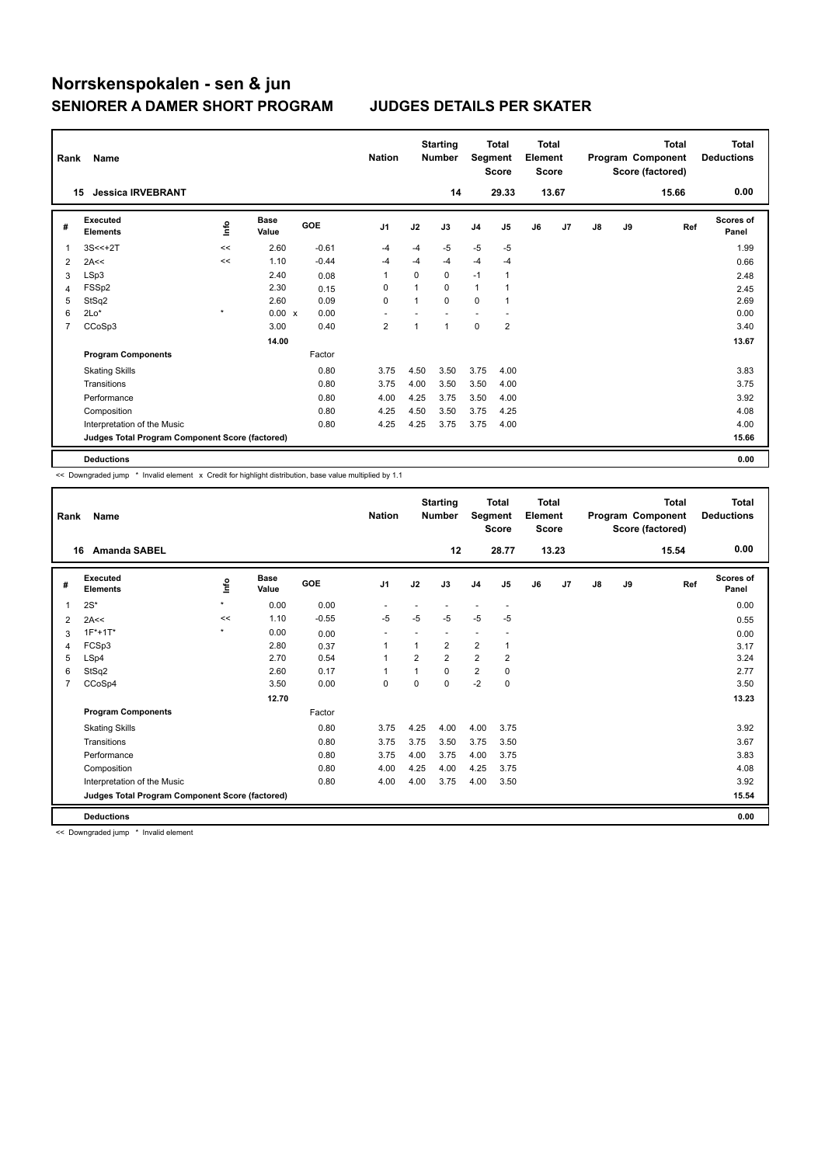| Rank           | Name                                            |            |                      |            | <b>Nation</b>           |      | <b>Starting</b><br><b>Number</b> | Segment        | <b>Total</b><br><b>Score</b> | <b>Total</b><br>Element<br><b>Score</b> |                |    |    | <b>Total</b><br>Program Component<br>Score (factored) | <b>Total</b><br><b>Deductions</b> |
|----------------|-------------------------------------------------|------------|----------------------|------------|-------------------------|------|----------------------------------|----------------|------------------------------|-----------------------------------------|----------------|----|----|-------------------------------------------------------|-----------------------------------|
|                | <b>Jessica IRVEBRANT</b><br>15                  |            |                      |            |                         |      | 14                               |                | 29.33                        |                                         | 13.67          |    |    | 15.66                                                 | 0.00                              |
| #              | Executed<br><b>Elements</b>                     | <b>Lin</b> | <b>Base</b><br>Value | <b>GOE</b> | J <sub>1</sub>          | J2   | J3                               | J <sub>4</sub> | J <sub>5</sub>               | J6                                      | J <sub>7</sub> | J8 | J9 | Ref                                                   | <b>Scores of</b><br>Panel         |
| 1              | $3S < +2T$                                      | <<         | 2.60                 | $-0.61$    | -4                      | $-4$ | $-5$                             | $-5$           | $-5$                         |                                         |                |    |    |                                                       | 1.99                              |
| 2              | 2A<<                                            | <<         | 1.10                 | $-0.44$    | $-4$                    | $-4$ | $-4$                             | $-4$           | $-4$                         |                                         |                |    |    |                                                       | 0.66                              |
| 3              | LSp3                                            |            | 2.40                 | 0.08       | $\overline{1}$          | 0    | 0                                | $-1$           | 1                            |                                         |                |    |    |                                                       | 2.48                              |
| 4              | FSSp2                                           |            | 2.30                 | 0.15       | 0                       |      | $\Omega$                         | $\mathbf{1}$   |                              |                                         |                |    |    |                                                       | 2.45                              |
| 5              | StSq2                                           |            | 2.60                 | 0.09       | $\mathbf 0$             |      | $\Omega$                         | $\mathbf 0$    | 1                            |                                         |                |    |    |                                                       | 2.69                              |
| 6              | $2Lo*$                                          | $\star$    | 0.00 x               | 0.00       |                         |      |                                  | ٠              |                              |                                         |                |    |    |                                                       | 0.00                              |
| $\overline{7}$ | CCoSp3                                          |            | 3.00                 | 0.40       | $\overline{\mathbf{c}}$ |      | 1                                | $\mathbf 0$    | $\overline{2}$               |                                         |                |    |    |                                                       | 3.40                              |
|                |                                                 |            | 14.00                |            |                         |      |                                  |                |                              |                                         |                |    |    |                                                       | 13.67                             |
|                | <b>Program Components</b>                       |            |                      | Factor     |                         |      |                                  |                |                              |                                         |                |    |    |                                                       |                                   |
|                | <b>Skating Skills</b>                           |            |                      | 0.80       | 3.75                    | 4.50 | 3.50                             | 3.75           | 4.00                         |                                         |                |    |    |                                                       | 3.83                              |
|                | Transitions                                     |            |                      | 0.80       | 3.75                    | 4.00 | 3.50                             | 3.50           | 4.00                         |                                         |                |    |    |                                                       | 3.75                              |
|                | Performance                                     |            |                      | 0.80       | 4.00                    | 4.25 | 3.75                             | 3.50           | 4.00                         |                                         |                |    |    |                                                       | 3.92                              |
|                | Composition                                     |            |                      | 0.80       | 4.25                    | 4.50 | 3.50                             | 3.75           | 4.25                         |                                         |                |    |    |                                                       | 4.08                              |
|                | Interpretation of the Music                     |            |                      | 0.80       | 4.25                    | 4.25 | 3.75                             | 3.75           | 4.00                         |                                         |                |    |    |                                                       | 4.00                              |
|                | Judges Total Program Component Score (factored) |            |                      |            |                         |      |                                  |                |                              |                                         |                |    |    |                                                       | 15.66                             |
|                | <b>Deductions</b>                               |            |                      |            |                         |      |                                  |                |                              |                                         |                |    |    |                                                       | 0.00                              |

<< Downgraded jump \* Invalid element x Credit for highlight distribution, base value multiplied by 1.1

| Rank           | <b>Name</b>                                     |         |                      |         | <b>Nation</b>            |                | <b>Starting</b><br><b>Number</b> | Segment        | <b>Total</b><br><b>Score</b> | <b>Total</b><br>Element<br><b>Score</b> |       |               |    | <b>Total</b><br>Program Component<br>Score (factored) | <b>Total</b><br><b>Deductions</b> |
|----------------|-------------------------------------------------|---------|----------------------|---------|--------------------------|----------------|----------------------------------|----------------|------------------------------|-----------------------------------------|-------|---------------|----|-------------------------------------------------------|-----------------------------------|
|                | <b>Amanda SABEL</b><br>16                       |         |                      |         |                          |                | 12                               |                | 28.77                        |                                         | 13.23 |               |    | 15.54                                                 | 0.00                              |
| #              | Executed<br><b>Elements</b>                     | lnfo    | <b>Base</b><br>Value | GOE     | J <sub>1</sub>           | J2             | J3                               | J <sub>4</sub> | J5                           | J6                                      | J7    | $\mathsf{J}8$ | J9 | Ref                                                   | <b>Scores of</b><br>Panel         |
| 1              | $2S^*$                                          | $\star$ | 0.00                 | 0.00    |                          |                |                                  |                |                              |                                         |       |               |    |                                                       | 0.00                              |
| 2              | 2A<<                                            | <<      | 1.10                 | $-0.55$ | $-5$                     | $-5$           | $-5$                             | $-5$           | $-5$                         |                                         |       |               |    |                                                       | 0.55                              |
| 3              | $1F*+1T*$                                       | $\star$ | 0.00                 | 0.00    | $\overline{\phantom{a}}$ |                |                                  |                |                              |                                         |       |               |    |                                                       | 0.00                              |
| 4              | FCSp3                                           |         | 2.80                 | 0.37    | 1                        | 1              | $\overline{2}$                   | $\overline{2}$ | 1                            |                                         |       |               |    |                                                       | 3.17                              |
| 5              | LSp4                                            |         | 2.70                 | 0.54    | $\mathbf{1}$             | $\overline{2}$ | $\overline{2}$                   | $\overline{2}$ | 2                            |                                         |       |               |    |                                                       | 3.24                              |
| 6              | StSq2                                           |         | 2.60                 | 0.17    | $\mathbf{1}$             |                | 0                                | $\overline{2}$ | 0                            |                                         |       |               |    |                                                       | 2.77                              |
| $\overline{7}$ | CCoSp4                                          |         | 3.50                 | 0.00    | $\mathbf 0$              | $\Omega$       | $\Omega$                         | $-2$           | $\mathbf 0$                  |                                         |       |               |    |                                                       | 3.50                              |
|                |                                                 |         | 12.70                |         |                          |                |                                  |                |                              |                                         |       |               |    |                                                       | 13.23                             |
|                | <b>Program Components</b>                       |         |                      | Factor  |                          |                |                                  |                |                              |                                         |       |               |    |                                                       |                                   |
|                | <b>Skating Skills</b>                           |         |                      | 0.80    | 3.75                     | 4.25           | 4.00                             | 4.00           | 3.75                         |                                         |       |               |    |                                                       | 3.92                              |
|                | Transitions                                     |         |                      | 0.80    | 3.75                     | 3.75           | 3.50                             | 3.75           | 3.50                         |                                         |       |               |    |                                                       | 3.67                              |
|                | Performance                                     |         |                      | 0.80    | 3.75                     | 4.00           | 3.75                             | 4.00           | 3.75                         |                                         |       |               |    |                                                       | 3.83                              |
|                | Composition                                     |         |                      | 0.80    | 4.00                     | 4.25           | 4.00                             | 4.25           | 3.75                         |                                         |       |               |    |                                                       | 4.08                              |
|                | Interpretation of the Music                     |         |                      | 0.80    | 4.00                     | 4.00           | 3.75                             | 4.00           | 3.50                         |                                         |       |               |    |                                                       | 3.92                              |
|                | Judges Total Program Component Score (factored) |         |                      |         |                          |                |                                  |                |                              |                                         |       |               |    |                                                       | 15.54                             |
|                | <b>Deductions</b>                               |         |                      |         |                          |                |                                  |                |                              |                                         |       |               |    |                                                       | 0.00                              |

<< Downgraded jump \* Invalid element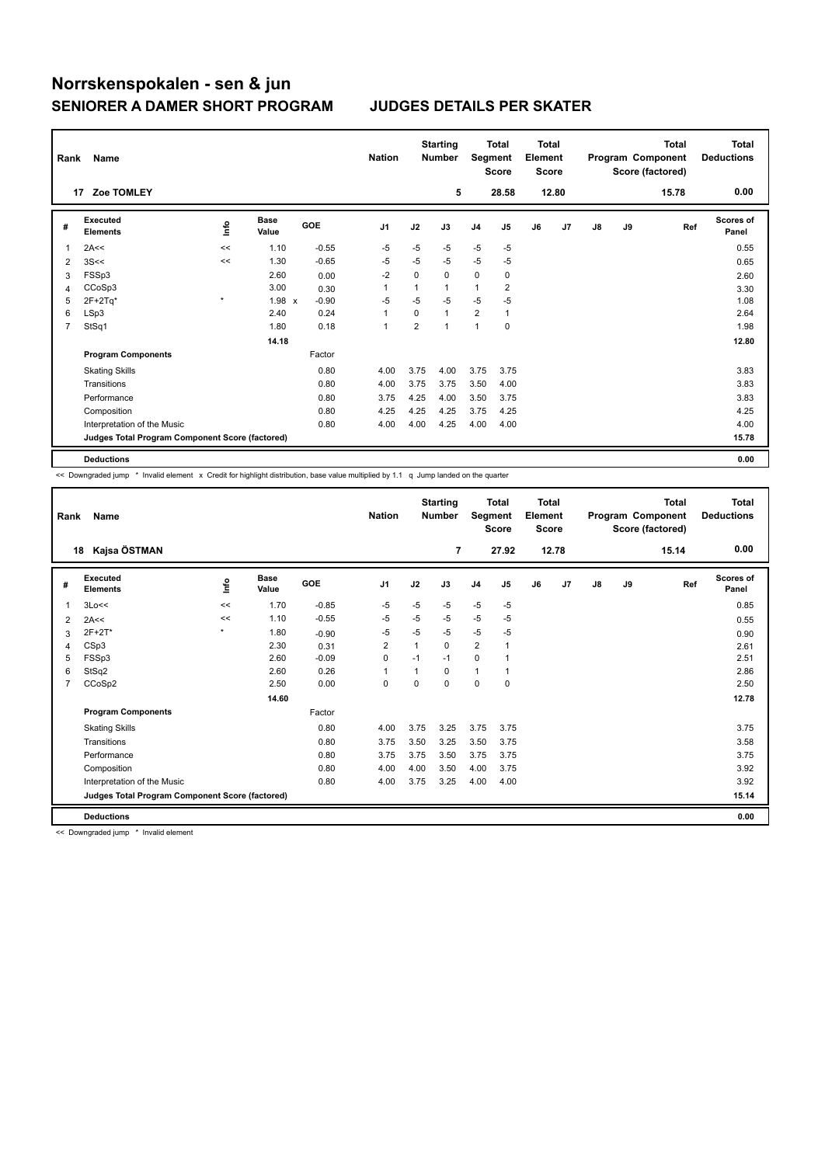| Rank | Name                                            |         |                      |            | <b>Nation</b>  |                         | <b>Starting</b><br><b>Number</b> | Segment        | <b>Total</b><br><b>Score</b> | <b>Total</b><br>Element<br><b>Score</b> |       |               |    | <b>Total</b><br>Program Component<br>Score (factored) | Total<br><b>Deductions</b> |
|------|-------------------------------------------------|---------|----------------------|------------|----------------|-------------------------|----------------------------------|----------------|------------------------------|-----------------------------------------|-------|---------------|----|-------------------------------------------------------|----------------------------|
|      | Zoe TOMLEY<br>17                                |         |                      |            |                |                         | 5                                |                | 28.58                        |                                         | 12.80 |               |    | 15.78                                                 | 0.00                       |
| #    | <b>Executed</b><br><b>Elements</b>              | ١nfo    | <b>Base</b><br>Value | <b>GOE</b> | J <sub>1</sub> | J2                      | J3                               | J <sub>4</sub> | J5                           | J6                                      | J7    | $\mathsf{J}8$ | J9 | Ref                                                   | Scores of<br>Panel         |
| 1    | 2A<<                                            | <<      | 1.10                 | $-0.55$    | $-5$           | $-5$                    | $-5$                             | $-5$           | $-5$                         |                                         |       |               |    |                                                       | 0.55                       |
| 2    | 3S<<                                            | <<      | 1.30                 | $-0.65$    | $-5$           | $-5$                    | $-5$                             | $-5$           | $-5$                         |                                         |       |               |    |                                                       | 0.65                       |
| 3    | FSSp3                                           |         | 2.60                 | 0.00       | $-2$           | 0                       | 0                                | 0              | 0                            |                                         |       |               |    |                                                       | 2.60                       |
| 4    | CCoSp3                                          |         | 3.00                 | 0.30       | 1              | 1                       | $\mathbf{1}$                     | 1              | 2                            |                                         |       |               |    |                                                       | 3.30                       |
| 5    | $2F+2Tq*$                                       | $\star$ | 1.98 x               | $-0.90$    | $-5$           | $-5$                    | $-5$                             | $-5$           | $-5$                         |                                         |       |               |    |                                                       | 1.08                       |
| 6    | LSp3                                            |         | 2.40                 | 0.24       | $\overline{1}$ | 0                       | $\mathbf{1}$                     | $\overline{2}$ | $\overline{1}$               |                                         |       |               |    |                                                       | 2.64                       |
| 7    | StSq1                                           |         | 1.80                 | 0.18       | $\overline{1}$ | $\overline{\mathbf{c}}$ | $\overline{ }$                   | 1              | 0                            |                                         |       |               |    |                                                       | 1.98                       |
|      |                                                 |         | 14.18                |            |                |                         |                                  |                |                              |                                         |       |               |    |                                                       | 12.80                      |
|      | <b>Program Components</b>                       |         |                      | Factor     |                |                         |                                  |                |                              |                                         |       |               |    |                                                       |                            |
|      | <b>Skating Skills</b>                           |         |                      | 0.80       | 4.00           | 3.75                    | 4.00                             | 3.75           | 3.75                         |                                         |       |               |    |                                                       | 3.83                       |
|      | Transitions                                     |         |                      | 0.80       | 4.00           | 3.75                    | 3.75                             | 3.50           | 4.00                         |                                         |       |               |    |                                                       | 3.83                       |
|      | Performance                                     |         |                      | 0.80       | 3.75           | 4.25                    | 4.00                             | 3.50           | 3.75                         |                                         |       |               |    |                                                       | 3.83                       |
|      | Composition                                     |         |                      | 0.80       | 4.25           | 4.25                    | 4.25                             | 3.75           | 4.25                         |                                         |       |               |    |                                                       | 4.25                       |
|      | Interpretation of the Music                     |         |                      | 0.80       | 4.00           | 4.00                    | 4.25                             | 4.00           | 4.00                         |                                         |       |               |    |                                                       | 4.00                       |
|      | Judges Total Program Component Score (factored) |         |                      |            |                |                         |                                  |                |                              |                                         |       |               |    |                                                       | 15.78                      |
|      | <b>Deductions</b>                               |         |                      |            |                |                         |                                  |                |                              |                                         |       |               |    |                                                       | 0.00                       |

<< Downgraded jump \* Invalid element x Credit for highlight distribution, base value multiplied by 1.1 q Jump landed on the quarter

| Rank | <b>Name</b>                                     |         |                      |         | <b>Nation</b>  |      | <b>Starting</b><br><b>Number</b> | Segment        | <b>Total</b><br><b>Score</b> | <b>Total</b><br>Element<br><b>Score</b> |       |               |    | <b>Total</b><br>Program Component<br>Score (factored) | <b>Total</b><br><b>Deductions</b> |
|------|-------------------------------------------------|---------|----------------------|---------|----------------|------|----------------------------------|----------------|------------------------------|-----------------------------------------|-------|---------------|----|-------------------------------------------------------|-----------------------------------|
|      | Kajsa ÖSTMAN<br>18                              |         |                      |         |                |      | $\overline{7}$                   |                | 27.92                        |                                         | 12.78 |               |    | 15.14                                                 | 0.00                              |
| #    | Executed<br><b>Elements</b>                     | Linfo   | <b>Base</b><br>Value | GOE     | J <sub>1</sub> | J2   | J3                               | J <sub>4</sub> | J5                           | J6                                      | J7    | $\mathsf{J}8$ | J9 | Ref                                                   | Scores of<br>Panel                |
| 1    | 3Lo<<                                           | <<      | 1.70                 | $-0.85$ | $-5$           | $-5$ | $-5$                             | $-5$           | $-5$                         |                                         |       |               |    |                                                       | 0.85                              |
| 2    | 2A<<                                            | <<      | 1.10                 | $-0.55$ | -5             | $-5$ | $-5$                             | $-5$           | $-5$                         |                                         |       |               |    |                                                       | 0.55                              |
| 3    | 2F+2T*                                          | $\star$ | 1.80                 | $-0.90$ | $-5$           | $-5$ | $-5$                             | $-5$           | $-5$                         |                                         |       |               |    |                                                       | 0.90                              |
| 4    | CSp3                                            |         | 2.30                 | 0.31    | $\overline{2}$ | 1    | $\Omega$                         | $\overline{2}$ | 1                            |                                         |       |               |    |                                                       | 2.61                              |
| 5    | FSSp3                                           |         | 2.60                 | $-0.09$ | $\mathbf 0$    | $-1$ | $-1$                             | $\mathbf 0$    |                              |                                         |       |               |    |                                                       | 2.51                              |
| 6    | StSq2                                           |         | 2.60                 | 0.26    | $\mathbf{1}$   | 1    | 0                                | $\mathbf{1}$   |                              |                                         |       |               |    |                                                       | 2.86                              |
| 7    | CCoSp2                                          |         | 2.50                 | 0.00    | 0              | 0    | 0                                | 0              | 0                            |                                         |       |               |    |                                                       | 2.50                              |
|      |                                                 |         | 14.60                |         |                |      |                                  |                |                              |                                         |       |               |    |                                                       | 12.78                             |
|      | <b>Program Components</b>                       |         |                      | Factor  |                |      |                                  |                |                              |                                         |       |               |    |                                                       |                                   |
|      | <b>Skating Skills</b>                           |         |                      | 0.80    | 4.00           | 3.75 | 3.25                             | 3.75           | 3.75                         |                                         |       |               |    |                                                       | 3.75                              |
|      | Transitions                                     |         |                      | 0.80    | 3.75           | 3.50 | 3.25                             | 3.50           | 3.75                         |                                         |       |               |    |                                                       | 3.58                              |
|      | Performance                                     |         |                      | 0.80    | 3.75           | 3.75 | 3.50                             | 3.75           | 3.75                         |                                         |       |               |    |                                                       | 3.75                              |
|      | Composition                                     |         |                      | 0.80    | 4.00           | 4.00 | 3.50                             | 4.00           | 3.75                         |                                         |       |               |    |                                                       | 3.92                              |
|      | Interpretation of the Music                     |         |                      | 0.80    | 4.00           | 3.75 | 3.25                             | 4.00           | 4.00                         |                                         |       |               |    |                                                       | 3.92                              |
|      | Judges Total Program Component Score (factored) |         |                      |         |                |      |                                  |                |                              |                                         |       |               |    |                                                       | 15.14                             |
|      | <b>Deductions</b>                               |         |                      |         |                |      |                                  |                |                              |                                         |       |               |    |                                                       | 0.00                              |

<< Downgraded jump \* Invalid element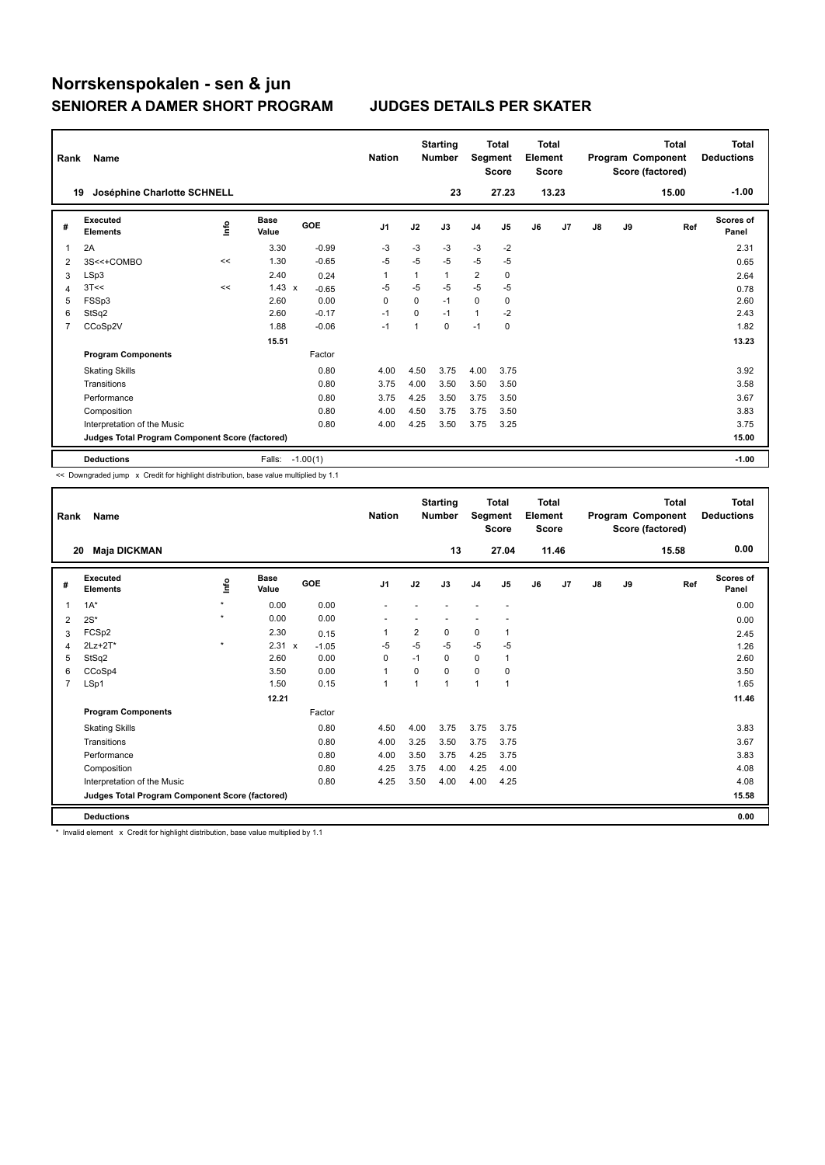| Rank | Name                                            |      |                      |            | <b>Nation</b>  |          | <b>Starting</b><br><b>Number</b> | Segment        | <b>Total</b><br><b>Score</b> | <b>Total</b><br>Element<br><b>Score</b> |                |    |    | <b>Total</b><br>Program Component<br>Score (factored) | Total<br><b>Deductions</b> |
|------|-------------------------------------------------|------|----------------------|------------|----------------|----------|----------------------------------|----------------|------------------------------|-----------------------------------------|----------------|----|----|-------------------------------------------------------|----------------------------|
|      | Joséphine Charlotte SCHNELL<br>19               |      |                      |            |                |          | 23                               |                | 27.23                        |                                         | 13.23          |    |    | 15.00                                                 | $-1.00$                    |
| #    | Executed<br><b>Elements</b>                     | ١nfo | <b>Base</b><br>Value | GOE        | J <sub>1</sub> | J2       | J3                               | J <sub>4</sub> | J <sub>5</sub>               | J6                                      | J <sub>7</sub> | J8 | J9 | Ref                                                   | <b>Scores of</b><br>Panel  |
| 1    | 2A                                              |      | 3.30                 | $-0.99$    | $-3$           | $-3$     | $-3$                             | $-3$           | $-2$                         |                                         |                |    |    |                                                       | 2.31                       |
| 2    | 3S<<+COMBO                                      | <<   | 1.30                 | $-0.65$    | $-5$           | $-5$     | $-5$                             | $-5$           | $-5$                         |                                         |                |    |    |                                                       | 0.65                       |
| 3    | LSp3                                            |      | 2.40                 | 0.24       | $\overline{1}$ |          | 1                                | $\overline{2}$ | 0                            |                                         |                |    |    |                                                       | 2.64                       |
| 4    | 3T<<                                            | <<   | $1.43 \times$        | $-0.65$    | $-5$           | $-5$     | $-5$                             | $-5$           | $-5$                         |                                         |                |    |    |                                                       | 0.78                       |
| 5    | FSSp3                                           |      | 2.60                 | 0.00       | $\Omega$       | $\Omega$ | $-1$                             | $\Omega$       | 0                            |                                         |                |    |    |                                                       | 2.60                       |
| 6    | StSq2                                           |      | 2.60                 | $-0.17$    | $-1$           | $\Omega$ | $-1$                             | $\mathbf{1}$   | $-2$                         |                                         |                |    |    |                                                       | 2.43                       |
| 7    | CCoSp2V                                         |      | 1.88                 | $-0.06$    | $-1$           |          | $\Omega$                         | $-1$           | $\mathbf 0$                  |                                         |                |    |    |                                                       | 1.82                       |
|      |                                                 |      | 15.51                |            |                |          |                                  |                |                              |                                         |                |    |    |                                                       | 13.23                      |
|      | <b>Program Components</b>                       |      |                      | Factor     |                |          |                                  |                |                              |                                         |                |    |    |                                                       |                            |
|      | <b>Skating Skills</b>                           |      |                      | 0.80       | 4.00           | 4.50     | 3.75                             | 4.00           | 3.75                         |                                         |                |    |    |                                                       | 3.92                       |
|      | Transitions                                     |      |                      | 0.80       | 3.75           | 4.00     | 3.50                             | 3.50           | 3.50                         |                                         |                |    |    |                                                       | 3.58                       |
|      | Performance                                     |      |                      | 0.80       | 3.75           | 4.25     | 3.50                             | 3.75           | 3.50                         |                                         |                |    |    |                                                       | 3.67                       |
|      | Composition                                     |      |                      | 0.80       | 4.00           | 4.50     | 3.75                             | 3.75           | 3.50                         |                                         |                |    |    |                                                       | 3.83                       |
|      | Interpretation of the Music                     |      |                      | 0.80       | 4.00           | 4.25     | 3.50                             | 3.75           | 3.25                         |                                         |                |    |    |                                                       | 3.75                       |
|      | Judges Total Program Component Score (factored) |      |                      |            |                |          |                                  |                |                              |                                         |                |    |    |                                                       | 15.00                      |
|      | <b>Deductions</b>                               |      | Falls:               | $-1.00(1)$ |                |          |                                  |                |                              |                                         |                |    |    |                                                       | $-1.00$                    |

<< Downgraded jump x Credit for highlight distribution, base value multiplied by 1.1

| Rank           | Name                                            |         |               |         | <b>Nation</b>  |                | <b>Starting</b><br><b>Number</b> | Segment        | <b>Total</b><br><b>Score</b> | <b>Total</b><br>Element<br><b>Score</b> |       |               |    | <b>Total</b><br>Program Component<br>Score (factored) | <b>Total</b><br><b>Deductions</b> |
|----------------|-------------------------------------------------|---------|---------------|---------|----------------|----------------|----------------------------------|----------------|------------------------------|-----------------------------------------|-------|---------------|----|-------------------------------------------------------|-----------------------------------|
|                | 20<br><b>Maja DICKMAN</b>                       |         |               |         |                |                | 13                               |                | 27.04                        |                                         | 11.46 |               |    | 15.58                                                 | 0.00                              |
| #              | Executed<br><b>Elements</b>                     | lnfo    | Base<br>Value | GOE     | J <sub>1</sub> | J2             | J3                               | J <sub>4</sub> | J5                           | J6                                      | J7    | $\mathsf{J}8$ | J9 | Ref                                                   | Scores of<br>Panel                |
| 1              | $1A^*$                                          | $\star$ | 0.00          | 0.00    |                |                |                                  |                |                              |                                         |       |               |    |                                                       | 0.00                              |
| 2              | $2S^*$                                          | $\star$ | 0.00          | 0.00    |                |                |                                  |                |                              |                                         |       |               |    |                                                       | 0.00                              |
| 3              | FCSp2                                           |         | 2.30          | 0.15    | 1              | $\overline{2}$ | 0                                | 0              | 1                            |                                         |       |               |    |                                                       | 2.45                              |
| 4              | $2Lz + 2T^*$                                    | $\star$ | $2.31 \times$ | $-1.05$ | -5             | $-5$           | $-5$                             | $-5$           | $-5$                         |                                         |       |               |    |                                                       | 1.26                              |
| 5              | StSq2                                           |         | 2.60          | 0.00    | $\Omega$       | $-1$           | $\Omega$                         | 0              | 1                            |                                         |       |               |    |                                                       | 2.60                              |
| 6              | CCoSp4                                          |         | 3.50          | 0.00    | $\mathbf{1}$   | $\Omega$       | 0                                | $\mathbf 0$    | $\Omega$                     |                                         |       |               |    |                                                       | 3.50                              |
| $\overline{7}$ | LSp1                                            |         | 1.50          | 0.15    | $\mathbf{1}$   | 1              | 1                                | $\overline{1}$ | 1                            |                                         |       |               |    |                                                       | 1.65                              |
|                |                                                 |         | 12.21         |         |                |                |                                  |                |                              |                                         |       |               |    |                                                       | 11.46                             |
|                | <b>Program Components</b>                       |         |               | Factor  |                |                |                                  |                |                              |                                         |       |               |    |                                                       |                                   |
|                | <b>Skating Skills</b>                           |         |               | 0.80    | 4.50           | 4.00           | 3.75                             | 3.75           | 3.75                         |                                         |       |               |    |                                                       | 3.83                              |
|                | Transitions                                     |         |               | 0.80    | 4.00           | 3.25           | 3.50                             | 3.75           | 3.75                         |                                         |       |               |    |                                                       | 3.67                              |
|                | Performance                                     |         |               | 0.80    | 4.00           | 3.50           | 3.75                             | 4.25           | 3.75                         |                                         |       |               |    |                                                       | 3.83                              |
|                | Composition                                     |         |               | 0.80    | 4.25           | 3.75           | 4.00                             | 4.25           | 4.00                         |                                         |       |               |    |                                                       | 4.08                              |
|                | Interpretation of the Music                     |         |               | 0.80    | 4.25           | 3.50           | 4.00                             | 4.00           | 4.25                         |                                         |       |               |    |                                                       | 4.08                              |
|                | Judges Total Program Component Score (factored) |         |               |         |                |                |                                  |                |                              |                                         |       |               |    |                                                       | 15.58                             |
|                | <b>Deductions</b>                               |         |               |         |                |                |                                  |                |                              |                                         |       |               |    |                                                       | 0.00                              |

\* Invalid element x Credit for highlight distribution, base value multiplied by 1.1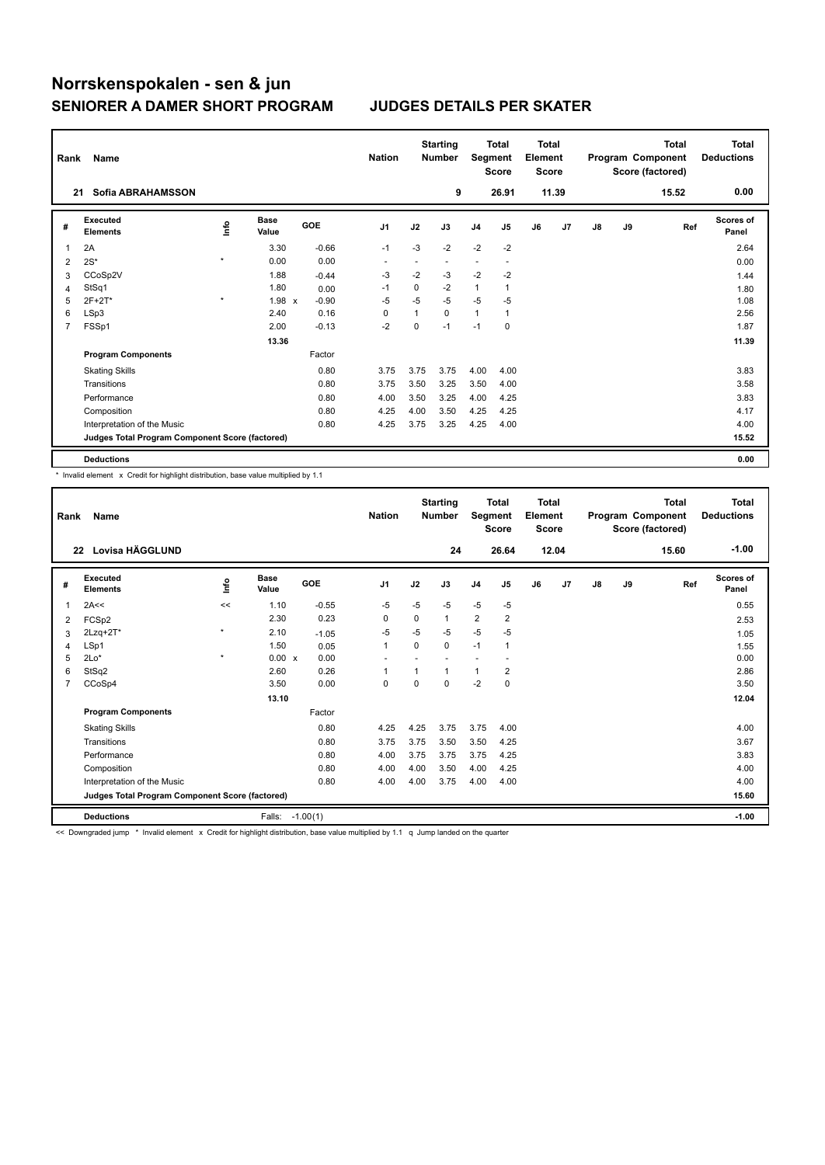| Rank           | Name                                            |         |                      |            | <b>Nation</b>  |      | <b>Starting</b><br><b>Number</b> | Segment        | <b>Total</b><br><b>Score</b> | <b>Total</b><br>Element<br><b>Score</b> |       |               |    | <b>Total</b><br>Program Component<br>Score (factored) | <b>Total</b><br><b>Deductions</b> |
|----------------|-------------------------------------------------|---------|----------------------|------------|----------------|------|----------------------------------|----------------|------------------------------|-----------------------------------------|-------|---------------|----|-------------------------------------------------------|-----------------------------------|
| 21             | Sofia ABRAHAMSSON                               |         |                      |            |                |      | 9                                |                | 26.91                        |                                         | 11.39 |               |    | 15.52                                                 | 0.00                              |
| #              | Executed<br><b>Elements</b>                     | Info    | <b>Base</b><br>Value | <b>GOE</b> | J <sub>1</sub> | J2   | J3                               | J <sub>4</sub> | J5                           | J6                                      | J7    | $\mathsf{J}8$ | J9 | Ref                                                   | <b>Scores of</b><br>Panel         |
| 1              | 2A                                              |         | 3.30                 | $-0.66$    | $-1$           | $-3$ | $-2$                             | $-2$           | $-2$                         |                                         |       |               |    |                                                       | 2.64                              |
| 2              | $2S^*$                                          | $\star$ | 0.00                 | 0.00       | ٠              |      |                                  | ٠              | $\overline{\phantom{a}}$     |                                         |       |               |    |                                                       | 0.00                              |
| 3              | CCoSp2V                                         |         | 1.88                 | $-0.44$    | -3             | $-2$ | $-3$                             | $-2$           | $-2$                         |                                         |       |               |    |                                                       | 1.44                              |
| 4              | StSq1                                           |         | 1.80                 | 0.00       | -1             | 0    | $-2$                             | $\mathbf{1}$   | 1                            |                                         |       |               |    |                                                       | 1.80                              |
| 5              | $2F+2T^*$                                       | $\star$ | 1.98 x               | $-0.90$    | $-5$           | $-5$ | $-5$                             | $-5$           | $-5$                         |                                         |       |               |    |                                                       | 1.08                              |
| 6              | LSp3                                            |         | 2.40                 | 0.16       | 0              |      | $\Omega$                         | $\mathbf{1}$   | 1                            |                                         |       |               |    |                                                       | 2.56                              |
| $\overline{7}$ | FSSp1                                           |         | 2.00                 | $-0.13$    | $-2$           | 0    | $-1$                             | $-1$           | 0                            |                                         |       |               |    |                                                       | 1.87                              |
|                |                                                 |         | 13.36                |            |                |      |                                  |                |                              |                                         |       |               |    |                                                       | 11.39                             |
|                | <b>Program Components</b>                       |         |                      | Factor     |                |      |                                  |                |                              |                                         |       |               |    |                                                       |                                   |
|                | <b>Skating Skills</b>                           |         |                      | 0.80       | 3.75           | 3.75 | 3.75                             | 4.00           | 4.00                         |                                         |       |               |    |                                                       | 3.83                              |
|                | Transitions                                     |         |                      | 0.80       | 3.75           | 3.50 | 3.25                             | 3.50           | 4.00                         |                                         |       |               |    |                                                       | 3.58                              |
|                | Performance                                     |         |                      | 0.80       | 4.00           | 3.50 | 3.25                             | 4.00           | 4.25                         |                                         |       |               |    |                                                       | 3.83                              |
|                | Composition                                     |         |                      | 0.80       | 4.25           | 4.00 | 3.50                             | 4.25           | 4.25                         |                                         |       |               |    |                                                       | 4.17                              |
|                | Interpretation of the Music                     |         |                      | 0.80       | 4.25           | 3.75 | 3.25                             | 4.25           | 4.00                         |                                         |       |               |    |                                                       | 4.00                              |
|                | Judges Total Program Component Score (factored) |         |                      |            |                |      |                                  |                |                              |                                         |       |               |    |                                                       | 15.52                             |
|                | <b>Deductions</b>                               |         |                      |            |                |      |                                  |                |                              |                                         |       |               |    |                                                       | 0.00                              |

\* Invalid element x Credit for highlight distribution, base value multiplied by 1.1

| Rank           | Name                                            |         |                      |            | <b>Nation</b>            |          | <b>Starting</b><br><b>Number</b> | Segment        | <b>Total</b><br><b>Score</b> | Total<br>Element<br><b>Score</b> |       |    |    | <b>Total</b><br>Program Component<br>Score (factored) | <b>Total</b><br><b>Deductions</b> |
|----------------|-------------------------------------------------|---------|----------------------|------------|--------------------------|----------|----------------------------------|----------------|------------------------------|----------------------------------|-------|----|----|-------------------------------------------------------|-----------------------------------|
|                | Lovisa HÄGGLUND<br>22                           |         |                      |            |                          |          | 24                               |                | 26.64                        |                                  | 12.04 |    |    | 15.60                                                 | $-1.00$                           |
| #              | Executed<br><b>Elements</b>                     | ١nto    | <b>Base</b><br>Value | <b>GOE</b> | J <sub>1</sub>           | J2       | J3                               | J <sub>4</sub> | J5                           | J6                               | J7    | J8 | J9 | Ref                                                   | <b>Scores of</b><br>Panel         |
| 1              | 2A<<                                            | <<      | 1.10                 | $-0.55$    | $-5$                     | $-5$     | $-5$                             | $-5$           | $-5$                         |                                  |       |    |    |                                                       | 0.55                              |
| 2              | FCSp2                                           |         | 2.30                 | 0.23       | 0                        | $\Omega$ | 1                                | $\overline{2}$ | $\overline{\mathbf{c}}$      |                                  |       |    |    |                                                       | 2.53                              |
| 3              | $2Lzq+2T*$                                      | $\star$ | 2.10                 | $-1.05$    | $-5$                     | $-5$     | $-5$                             | $-5$           | -5                           |                                  |       |    |    |                                                       | 1.05                              |
| 4              | LSp1                                            |         | 1.50                 | 0.05       | $\mathbf{1}$             | $\Omega$ | 0                                | $-1$           | 1                            |                                  |       |    |    |                                                       | 1.55                              |
| 5              | $2Lo*$                                          | $\star$ | $0.00 \times$        | 0.00       | $\overline{\phantom{a}}$ |          |                                  |                |                              |                                  |       |    |    |                                                       | 0.00                              |
| 6              | StSq2                                           |         | 2.60                 | 0.26       | 1                        |          | 1                                | 1              | $\overline{\mathbf{c}}$      |                                  |       |    |    |                                                       | 2.86                              |
| $\overline{7}$ | CCoSp4                                          |         | 3.50                 | 0.00       | 0                        | $\Omega$ | 0                                | $-2$           | 0                            |                                  |       |    |    |                                                       | 3.50                              |
|                |                                                 |         | 13.10                |            |                          |          |                                  |                |                              |                                  |       |    |    |                                                       | 12.04                             |
|                | <b>Program Components</b>                       |         |                      | Factor     |                          |          |                                  |                |                              |                                  |       |    |    |                                                       |                                   |
|                | <b>Skating Skills</b>                           |         |                      | 0.80       | 4.25                     | 4.25     | 3.75                             | 3.75           | 4.00                         |                                  |       |    |    |                                                       | 4.00                              |
|                | Transitions                                     |         |                      | 0.80       | 3.75                     | 3.75     | 3.50                             | 3.50           | 4.25                         |                                  |       |    |    |                                                       | 3.67                              |
|                | Performance                                     |         |                      | 0.80       | 4.00                     | 3.75     | 3.75                             | 3.75           | 4.25                         |                                  |       |    |    |                                                       | 3.83                              |
|                | Composition                                     |         |                      | 0.80       | 4.00                     | 4.00     | 3.50                             | 4.00           | 4.25                         |                                  |       |    |    |                                                       | 4.00                              |
|                | Interpretation of the Music                     |         |                      | 0.80       | 4.00                     | 4.00     | 3.75                             | 4.00           | 4.00                         |                                  |       |    |    |                                                       | 4.00                              |
|                | Judges Total Program Component Score (factored) |         |                      |            |                          |          |                                  |                |                              |                                  |       |    |    |                                                       | 15.60                             |
|                | <b>Deductions</b>                               |         | Falls:               | $-1.00(1)$ |                          |          |                                  |                |                              |                                  |       |    |    |                                                       | $-1.00$                           |

<< Downgraded jump \* Invalid element x Credit for highlight distribution, base value multiplied by 1.1 q Jump landed on the quarter